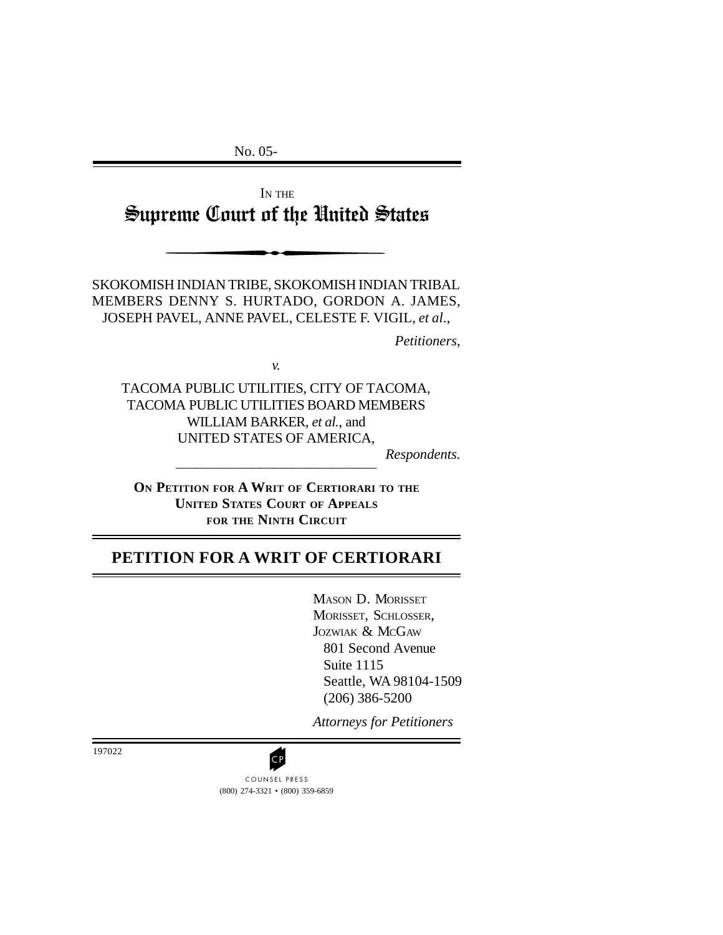No. 05-

IN THE Supreme Court of the United States

SKOKOMISH INDIAN TRIBE, SKOKOMISH INDIAN TRIBAL MEMBERS DENNY S. HURTADO, GORDON A. JAMES, JOSEPH PAVEL, ANNE PAVEL, CELESTE F. VIGIL, *et al*.,

*Petitioners*,

*v.*

TACOMA PUBLIC UTILITIES, CITY OF TACOMA, TACOMA PUBLIC UTILITIES BOARD MEMBERS WILLIAM BARKER, *et al.*, and UNITED STATES OF AMERICA,

*Respondents.*

**ON PETITION FOR A WRIT OF CERTIORARI TO THE UNITED STATES COURT OF APPEALS FOR THE NINTH CIRCUIT**

\_\_\_\_\_\_\_\_\_\_\_\_\_\_\_\_\_\_\_\_\_\_\_\_\_\_\_\_\_\_\_

# **PETITION FOR A WRIT OF CERTIORARI**

MASON D. MORISSET MORISSET, SCHLOSSER, JOZWIAK & MCGAW 801 Second Avenue Suite 1115 Seattle, WA 98104-1509 (206) 386-5200

*Attorneys for Petitioners*

197022

(800) 274-3321 • (800) 359-6859 **CP**<br>COUNSEL PRESS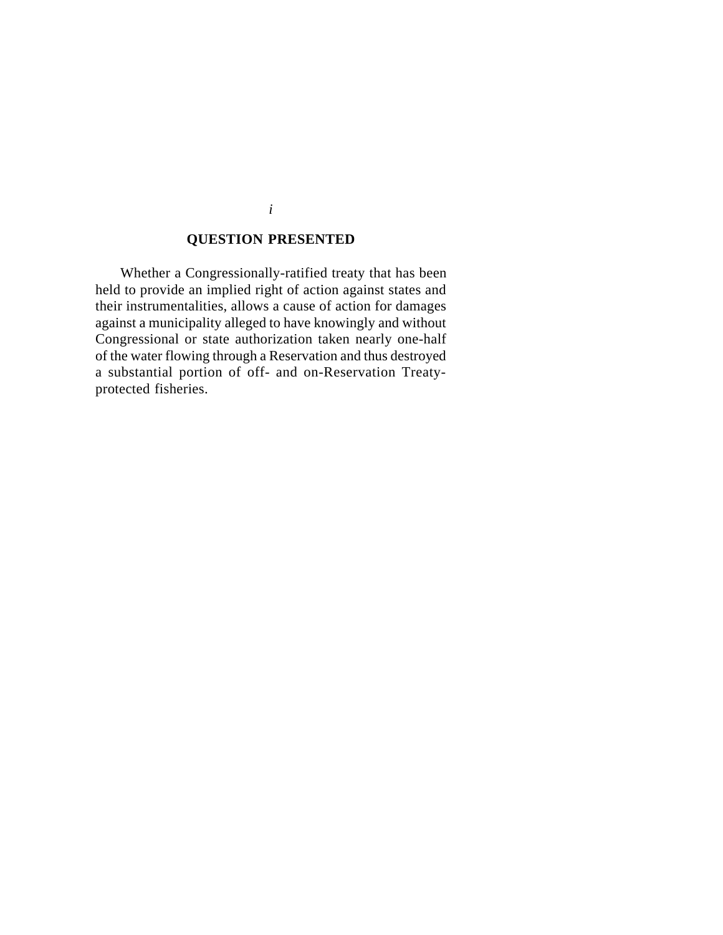## **QUESTION PRESENTED**

Whether a Congressionally-ratified treaty that has been held to provide an implied right of action against states and their instrumentalities, allows a cause of action for damages against a municipality alleged to have knowingly and without Congressional or state authorization taken nearly one-half of the water flowing through a Reservation and thus destroyed a substantial portion of off- and on-Reservation Treatyprotected fisheries.

*i*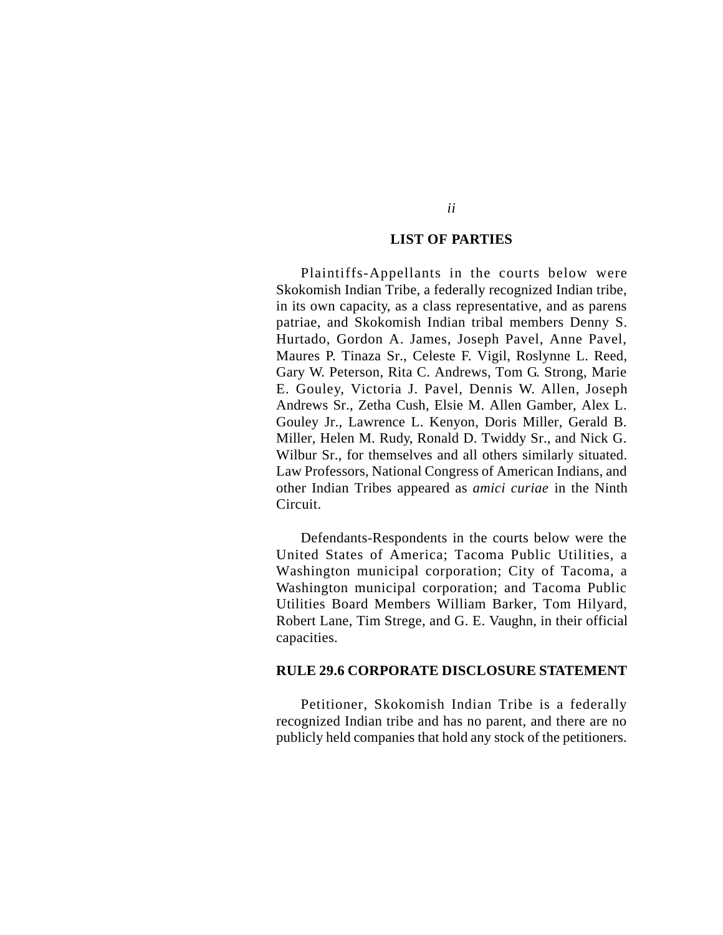#### **LIST OF PARTIES**

Plaintiffs-Appellants in the courts below were Skokomish Indian Tribe, a federally recognized Indian tribe, in its own capacity, as a class representative, and as parens patriae, and Skokomish Indian tribal members Denny S. Hurtado, Gordon A. James, Joseph Pavel, Anne Pavel, Maures P. Tinaza Sr., Celeste F. Vigil, Roslynne L. Reed, Gary W. Peterson, Rita C. Andrews, Tom G. Strong, Marie E. Gouley, Victoria J. Pavel, Dennis W. Allen, Joseph Andrews Sr., Zetha Cush, Elsie M. Allen Gamber, Alex L. Gouley Jr., Lawrence L. Kenyon, Doris Miller, Gerald B. Miller, Helen M. Rudy, Ronald D. Twiddy Sr., and Nick G. Wilbur Sr., for themselves and all others similarly situated. Law Professors, National Congress of American Indians, and other Indian Tribes appeared as *amici curiae* in the Ninth Circuit.

Defendants-Respondents in the courts below were the United States of America; Tacoma Public Utilities, a Washington municipal corporation; City of Tacoma, a Washington municipal corporation; and Tacoma Public Utilities Board Members William Barker, Tom Hilyard, Robert Lane, Tim Strege, and G. E. Vaughn, in their official capacities.

#### **RULE 29.6 CORPORATE DISCLOSURE STATEMENT**

Petitioner, Skokomish Indian Tribe is a federally recognized Indian tribe and has no parent, and there are no publicly held companies that hold any stock of the petitioners.

*ii*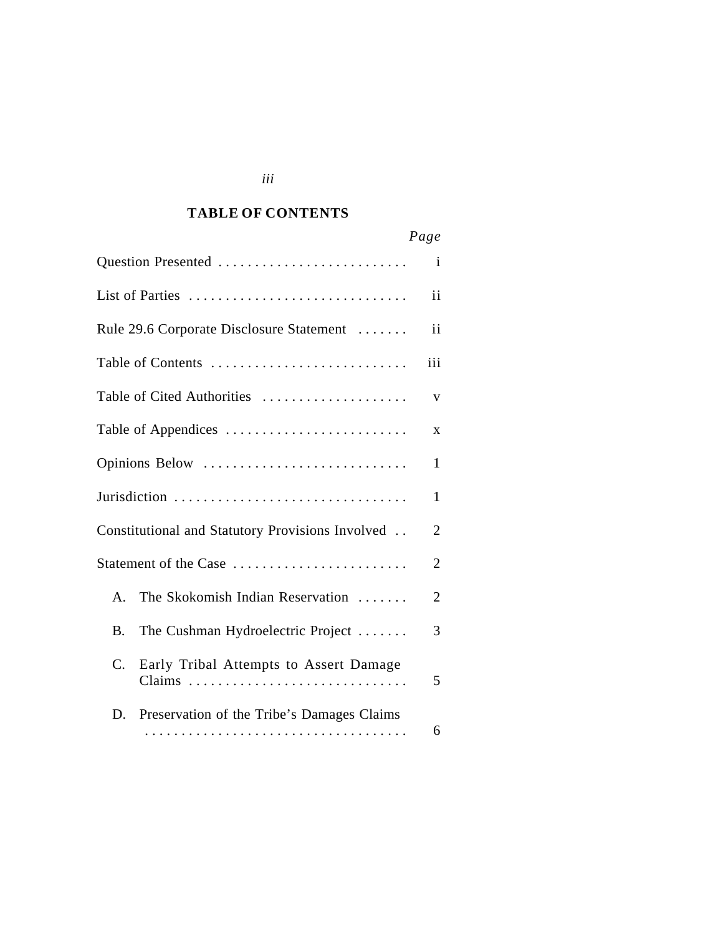### *Cited Authorities* **TABLE OF CONTENTS**

|                                                       | Page           |
|-------------------------------------------------------|----------------|
| Question Presented                                    | $\mathbf{i}$   |
| List of Parties                                       | ii             |
| Rule 29.6 Corporate Disclosure Statement              | ii             |
| Table of Contents                                     | iii            |
| Table of Cited Authorities                            | $\mathbf{V}$   |
| Table of Appendices                                   | X              |
| Opinions Below                                        | $\mathbf{1}$   |
| Jurisdiction                                          | $\mathbf{1}$   |
| Constitutional and Statutory Provisions Involved      | $\overline{2}$ |
| Statement of the Case                                 | $\overline{2}$ |
| The Skokomish Indian Reservation<br>$\mathsf{A}$ .    | $\overline{2}$ |
| The Cushman Hydroelectric Project<br><b>B.</b>        | 3              |
| $C_{\cdot}$<br>Early Tribal Attempts to Assert Damage | 5              |
| Preservation of the Tribe's Damages Claims<br>D.      | 6              |

## *iii*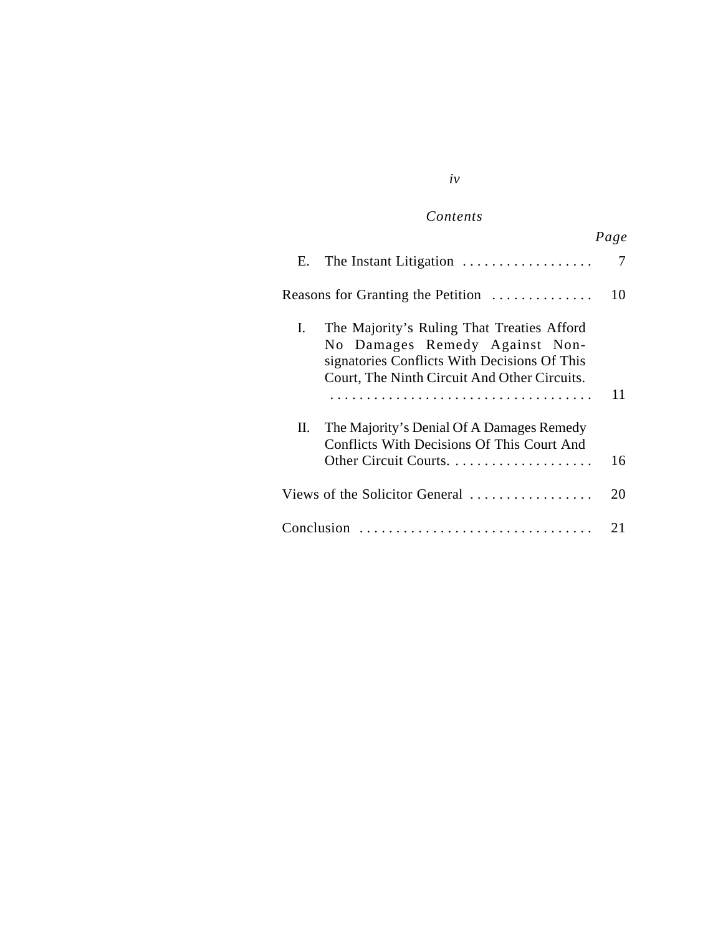## $Contents$

|                                                                                                                                                                                    | Page |
|------------------------------------------------------------------------------------------------------------------------------------------------------------------------------------|------|
| The Instant Litigation<br>Е.                                                                                                                                                       | 7    |
| Reasons for Granting the Petition                                                                                                                                                  | 10   |
| The Majority's Ruling That Treaties Afford<br>L.<br>No Damages Remedy Against Non-<br>signatories Conflicts With Decisions Of This<br>Court, The Ninth Circuit And Other Circuits. | 11   |
| The Majority's Denial Of A Damages Remedy<br>П.<br>Conflicts With Decisions Of This Court And                                                                                      | 16   |
| Views of the Solicitor General                                                                                                                                                     | 20   |
| Conclusion                                                                                                                                                                         | 21   |

# *iv*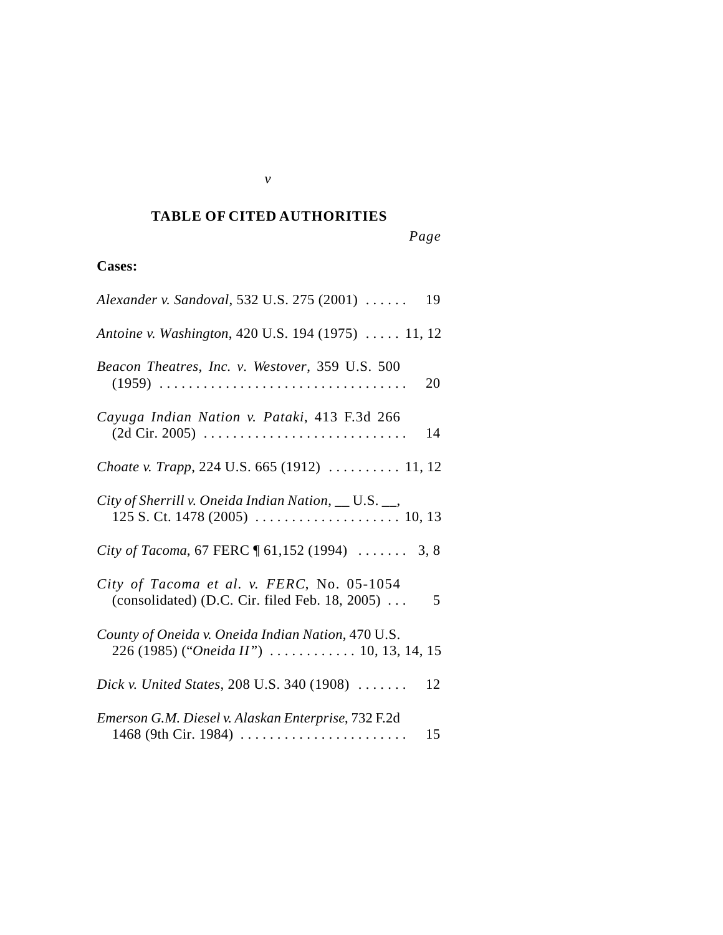# *Cited Authorities* **TABLE OF CITED AUTHORITIES**

*v*

*Page*

# **Cases:**

| Alexander v. Sandoval, 532 U.S. 275 (2001)<br>19                                                                                     |
|--------------------------------------------------------------------------------------------------------------------------------------|
| Antoine v. Washington, 420 U.S. 194 (1975)  11, 12                                                                                   |
| Beacon Theatres, Inc. v. Westover, 359 U.S. 500<br>20                                                                                |
| Cayuga Indian Nation v. Pataki, 413 F.3d 266<br>(2d Cir. 2005)<br>14                                                                 |
| Choate v. Trapp, 224 U.S. 665 (1912)  11, 12                                                                                         |
| City of Sherrill v. Oneida Indian Nation, __ U.S. __,                                                                                |
| City of Tacoma, 67 FERC $\sim$ 61,152 (1994)  3, 8                                                                                   |
| City of Tacoma et al. v. FERC, No. 05-1054<br>(consolidated) (D.C. Cir. filed Feb. 18, 2005) $\dots$<br>5                            |
| County of Oneida v. Oneida Indian Nation, 470 U.S.<br>226 (1985) ("Oneida II") $\ldots \ldots \ldots \ldots 10, 13, 14, 15$          |
| Dick v. United States, 208 U.S. 340 (1908) $\ldots \ldots$<br>12                                                                     |
| Emerson G.M. Diesel v. Alaskan Enterprise, 732 F.2d<br>1468 (9th Cir. 1984) $\ldots \ldots \ldots \ldots \ldots \ldots \ldots$<br>15 |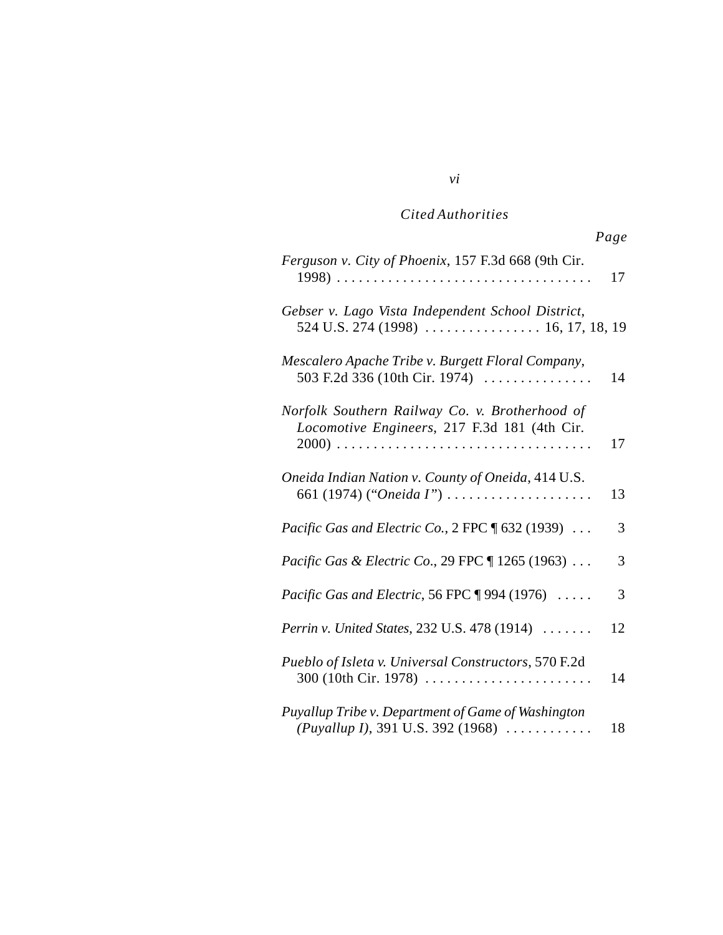|                                                                                                | Page |
|------------------------------------------------------------------------------------------------|------|
| Ferguson v. City of Phoenix, 157 F.3d 668 (9th Cir.                                            | 17   |
| Gebser v. Lago Vista Independent School District,                                              |      |
| Mescalero Apache Tribe v. Burgett Floral Company,<br>503 F.2d 336 (10th Cir. 1974)             | 14   |
| Norfolk Southern Railway Co. v. Brotherhood of<br>Locomotive Engineers, 217 F.3d 181 (4th Cir. | 17   |
| Oneida Indian Nation v. County of Oneida, 414 U.S.<br>661 (1974) ("Oneida I")                  | 13   |
| <i>Pacific Gas and Electric Co.</i> , $2$ FPC $\parallel$ 632 (1939) $\ldots$                  | 3    |
| <i>Pacific Gas &amp; Electric Co.</i> , 29 FPC ¶ 1265 (1963)                                   | 3    |
| <i>Pacific Gas and Electric</i> , 56 FPC $\parallel$ 994 (1976) $\ldots$ .                     | 3    |
| Perrin v. United States, 232 U.S. 478 (1914)                                                   | 12   |
| Pueblo of Isleta v. Universal Constructors, 570 F.2d<br>300 (10th Cir. 1978)                   | 14   |
| Puyallup Tribe v. Department of Game of Washington<br>(Puyallup I), 391 U.S. 392 (1968)        | 18   |

# *vi*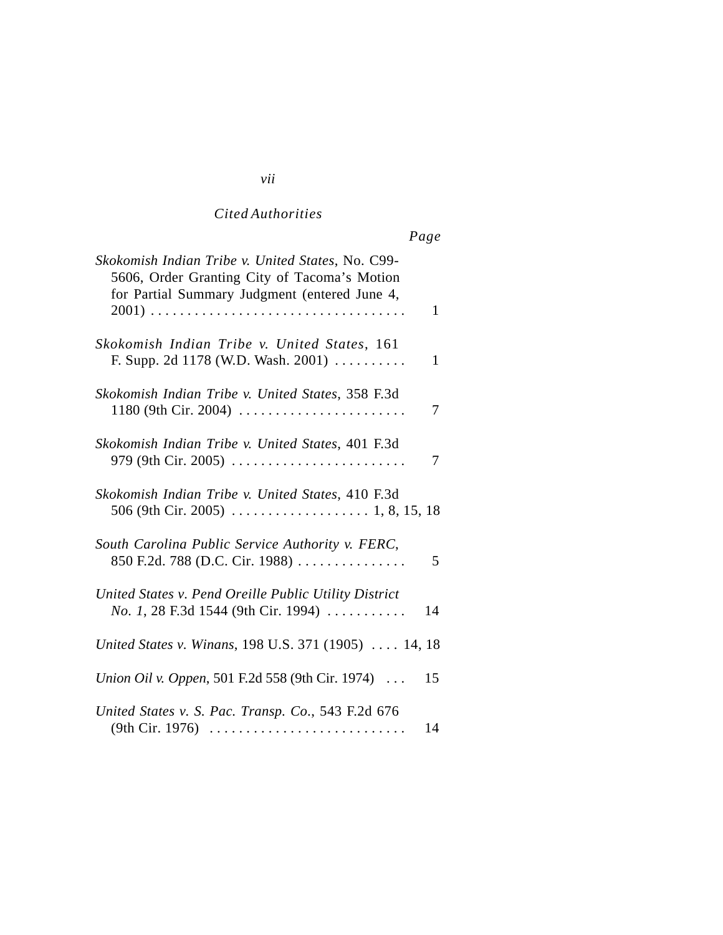| Skokomish Indian Tribe v. United States, No. C99-<br>5606, Order Granting City of Tacoma's Motion<br>for Partial Summary Judgment (entered June 4, |
|----------------------------------------------------------------------------------------------------------------------------------------------------|
| 1                                                                                                                                                  |
| Skokomish Indian Tribe v. United States, 161<br>F. Supp. 2d 1178 (W.D. Wash. 2001) $\ldots \ldots \ldots$<br>1                                     |
| Skokomish Indian Tribe v. United States, 358 F.3d<br>7                                                                                             |
| Skokomish Indian Tribe v. United States, 401 F.3d<br>979 (9th Cir. 2005)<br>7                                                                      |
| Skokomish Indian Tribe v. United States, 410 F.3d                                                                                                  |
| South Carolina Public Service Authority v. FERC,<br>850 F.2d. 788 (D.C. Cir. 1988)<br>5                                                            |
| United States v. Pend Oreille Public Utility District<br><i>No.</i> 1, 28 F.3d 1544 (9th Cir. 1994) $\ldots$<br>14                                 |
| United States v. Winans, 198 U.S. 371 (1905)  14, 18                                                                                               |
| Union Oil v. Oppen, 501 F.2d 558 (9th Cir. 1974)<br>15                                                                                             |
| United States v. S. Pac. Transp. Co., 543 F.2d 676<br>14                                                                                           |

## *vii*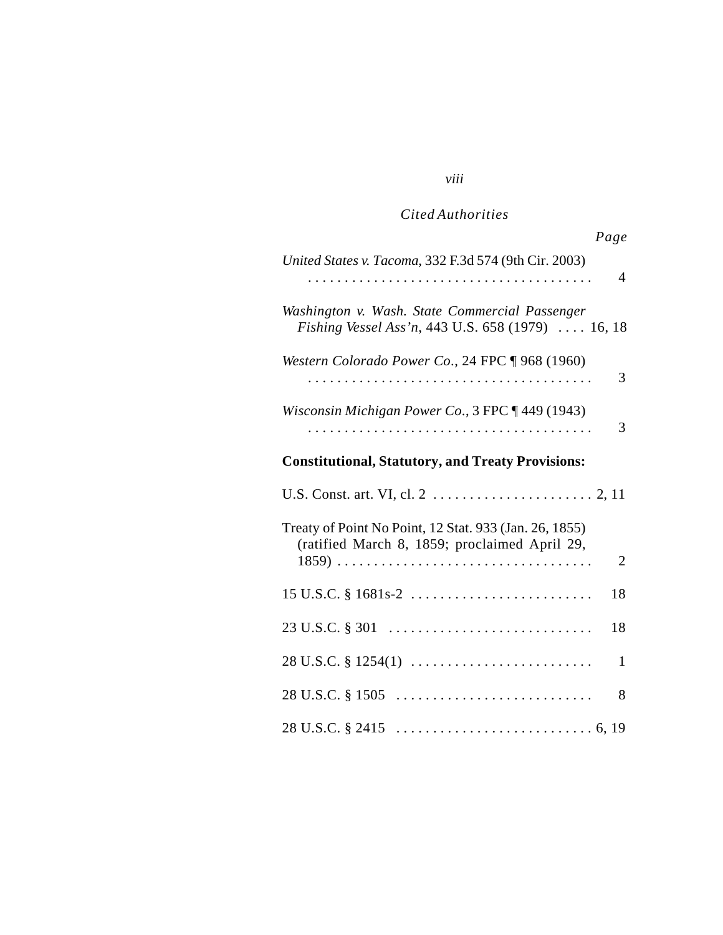| Page                                                                                                    |                |
|---------------------------------------------------------------------------------------------------------|----------------|
| United States v. Tacoma, 332 F.3d 574 (9th Cir. 2003)                                                   | $\overline{4}$ |
| Washington v. Wash. State Commercial Passenger<br>Fishing Vessel Ass'n, 443 U.S. 658 (1979)  16, 18     |                |
| Western Colorado Power Co., 24 FPC ¶ 968 (1960)                                                         | 3              |
| Wisconsin Michigan Power Co., 3 FPC 1449 (1943)                                                         | 3              |
| <b>Constitutional, Statutory, and Treaty Provisions:</b>                                                |                |
|                                                                                                         |                |
| Treaty of Point No Point, 12 Stat. 933 (Jan. 26, 1855)<br>(ratified March 8, 1859; proclaimed April 29, | 2              |
| $15$ U.S.C. § 1681s-2                                                                                   | 18             |
| $23 \text{ U.S.C.} \$ $301 \quad \dots \dots \dots \dots \dots \dots \dots \dots \dots \dots \dots$     | 18             |
| $28 \text{ U.S.C.} \S 1254(1) \dots \dots \dots \dots \dots \dots \dots \dots \dots$                    | 1              |
| $28 \text{ U.S.C.} \$ $1505 \ldots \ldots \ldots \ldots \ldots \ldots \ldots \ldots \ldots$             | 8              |
|                                                                                                         |                |

# *viii*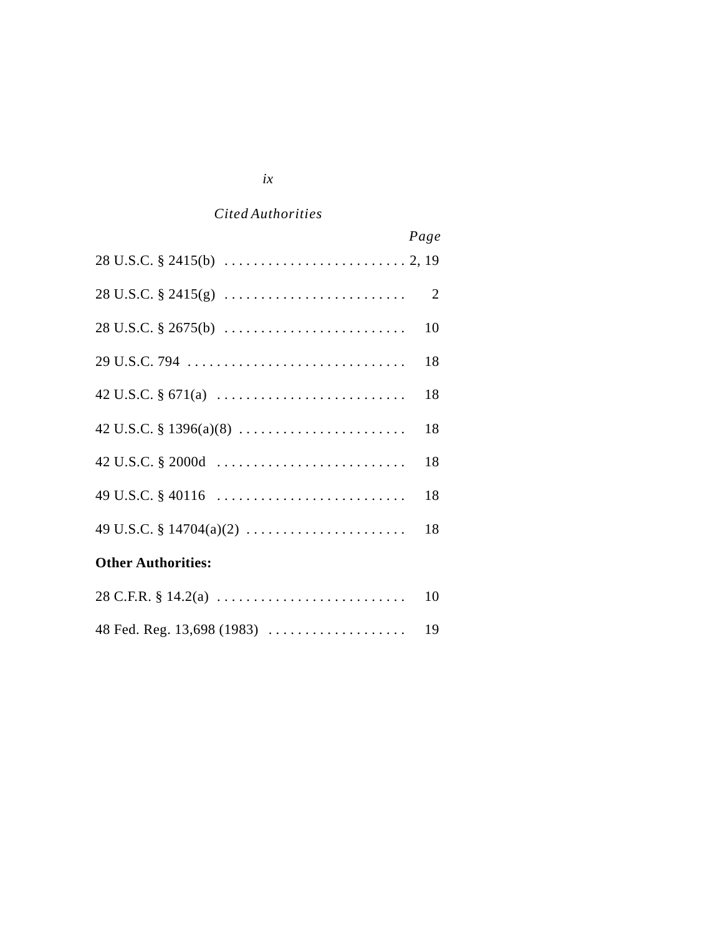|                                                                                                               | Page |
|---------------------------------------------------------------------------------------------------------------|------|
| $28 \text{ U.S.C.} \S 2415(\text{b}) \dots \dots \dots \dots \dots \dots \dots \dots \dots \dots \dots 2, 19$ |      |
| $28 \text{ U.S.C.} \S 2415(g) \ldots \ldots \ldots \ldots \ldots \ldots \ldots \ldots \qquad 2$               |      |
|                                                                                                               |      |
|                                                                                                               | 18   |
|                                                                                                               | 18   |
|                                                                                                               | 18   |
|                                                                                                               | 18   |
|                                                                                                               | 18   |
| 49 U.S.C. § 14704(a)(2)                                                                                       | 18   |
| <b>Other Authorities:</b>                                                                                     |      |

# *ix*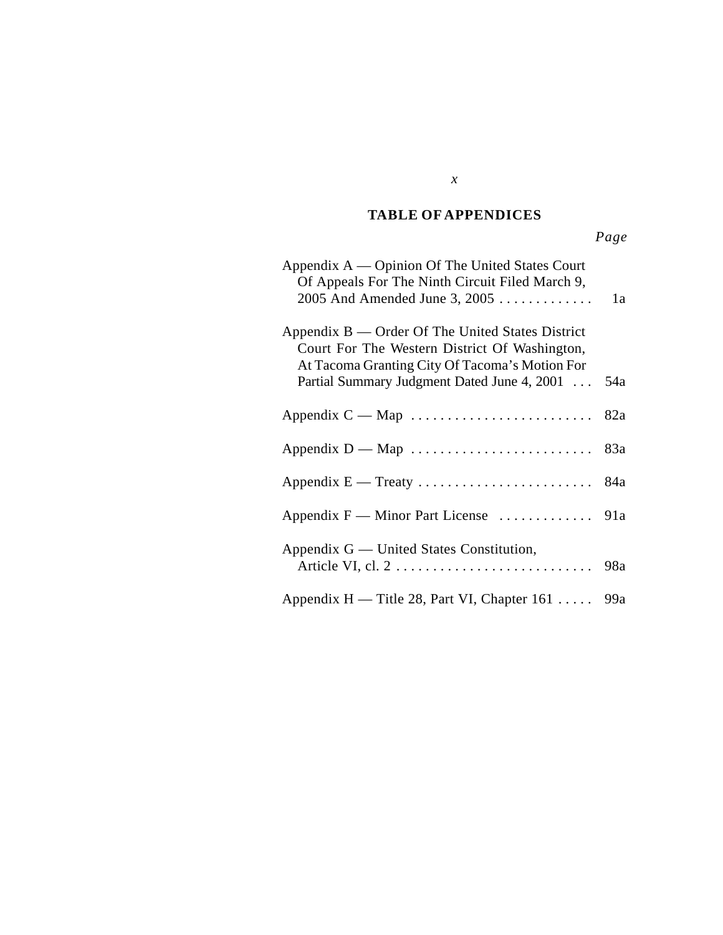### *Cited Authorities* **TABLE OF APPENDICES**

| Appendix A — Opinion Of The United States Court<br>Of Appeals For The Ninth Circuit Filed March 9,<br>$2005$ And Amended June 3, $2005$                                                            | 1a  |
|----------------------------------------------------------------------------------------------------------------------------------------------------------------------------------------------------|-----|
| Appendix B — Order Of The United States District<br>Court For The Western District Of Washington,<br>At Tacoma Granting City Of Tacoma's Motion For<br>Partial Summary Judgment Dated June 4, 2001 | 54a |
|                                                                                                                                                                                                    |     |
|                                                                                                                                                                                                    |     |
|                                                                                                                                                                                                    |     |
|                                                                                                                                                                                                    |     |
| Appendix G — United States Constitution,                                                                                                                                                           | 98a |
| Appendix H — Title 28, Part VI, Chapter 161  99a                                                                                                                                                   |     |

*x*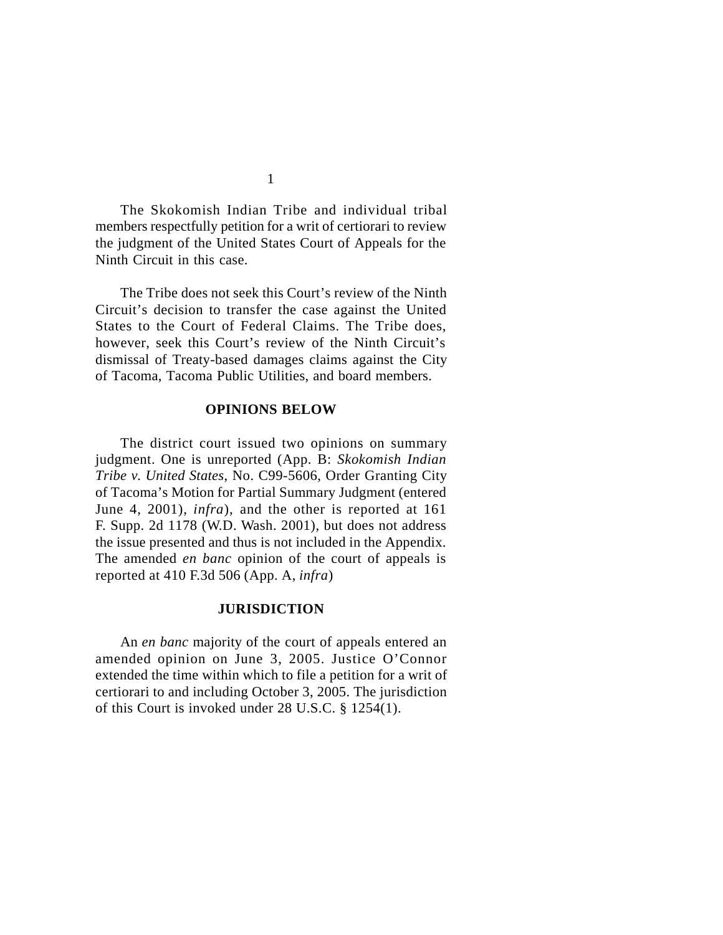The Skokomish Indian Tribe and individual tribal members respectfully petition for a writ of certiorari to review the judgment of the United States Court of Appeals for the Ninth Circuit in this case.

The Tribe does not seek this Court's review of the Ninth Circuit's decision to transfer the case against the United States to the Court of Federal Claims. The Tribe does, however, seek this Court's review of the Ninth Circuit's dismissal of Treaty-based damages claims against the City of Tacoma, Tacoma Public Utilities, and board members.

#### **OPINIONS BELOW**

The district court issued two opinions on summary judgment. One is unreported (App. B: *Skokomish Indian Tribe v. United States*, No. C99-5606, Order Granting City of Tacoma's Motion for Partial Summary Judgment (entered June 4, 2001), *infra*), and the other is reported at 161 F. Supp. 2d 1178 (W.D. Wash. 2001), but does not address the issue presented and thus is not included in the Appendix. The amended *en banc* opinion of the court of appeals is reported at 410 F.3d 506 (App. A, *infra*)

#### **JURISDICTION**

An *en banc* majority of the court of appeals entered an amended opinion on June 3, 2005. Justice O'Connor extended the time within which to file a petition for a writ of certiorari to and including October 3, 2005. The jurisdiction of this Court is invoked under 28 U.S.C. § 1254(1).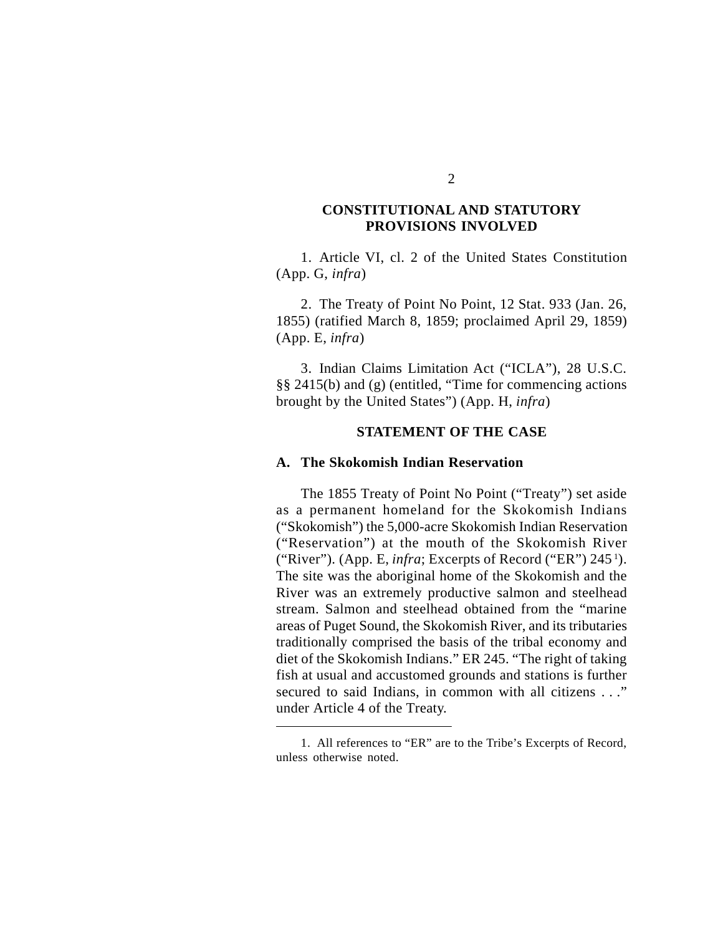### **CONSTITUTIONAL AND STATUTORY PROVISIONS INVOLVED**

1. Article VI, cl. 2 of the United States Constitution (App. G, *infra*)

2. The Treaty of Point No Point, 12 Stat. 933 (Jan. 26, 1855) (ratified March 8, 1859; proclaimed April 29, 1859) (App. E, *infra*)

3. Indian Claims Limitation Act ("ICLA"), 28 U.S.C. §§ 2415(b) and (g) (entitled, "Time for commencing actions brought by the United States") (App. H, *infra*)

#### **STATEMENT OF THE CASE**

### **A. The Skokomish Indian Reservation**

The 1855 Treaty of Point No Point ("Treaty") set aside as a permanent homeland for the Skokomish Indians ("Skokomish") the 5,000-acre Skokomish Indian Reservation ("Reservation") at the mouth of the Skokomish River ("River"). (App. E, *infra*; Excerpts of Record ("ER") 245<sup>1</sup>). The site was the aboriginal home of the Skokomish and the River was an extremely productive salmon and steelhead stream. Salmon and steelhead obtained from the "marine areas of Puget Sound, the Skokomish River, and its tributaries traditionally comprised the basis of the tribal economy and diet of the Skokomish Indians." ER 245. "The right of taking fish at usual and accustomed grounds and stations is further secured to said Indians, in common with all citizens . . ." under Article 4 of the Treaty.

<sup>1.</sup> All references to "ER" are to the Tribe's Excerpts of Record, unless otherwise noted.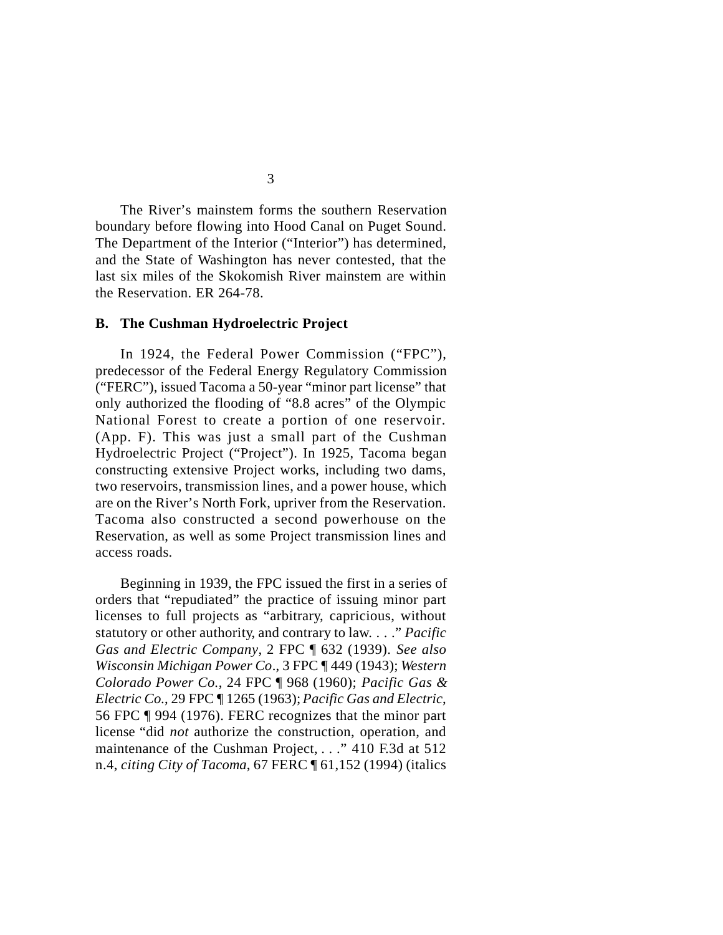The River's mainstem forms the southern Reservation boundary before flowing into Hood Canal on Puget Sound. The Department of the Interior ("Interior") has determined, and the State of Washington has never contested, that the last six miles of the Skokomish River mainstem are within the Reservation. ER 264-78.

#### **B. The Cushman Hydroelectric Project**

In 1924, the Federal Power Commission ("FPC"), predecessor of the Federal Energy Regulatory Commission ("FERC"), issued Tacoma a 50-year "minor part license" that only authorized the flooding of "8.8 acres" of the Olympic National Forest to create a portion of one reservoir. (App. F). This was just a small part of the Cushman Hydroelectric Project ("Project"). In 1925, Tacoma began constructing extensive Project works, including two dams, two reservoirs, transmission lines, and a power house, which are on the River's North Fork, upriver from the Reservation. Tacoma also constructed a second powerhouse on the Reservation, as well as some Project transmission lines and access roads.

Beginning in 1939, the FPC issued the first in a series of orders that "repudiated" the practice of issuing minor part licenses to full projects as "arbitrary, capricious, without statutory or other authority, and contrary to law. . . ." *Pacific Gas and Electric Company*, 2 FPC ¶ 632 (1939). *See also Wisconsin Michigan Power Co*., 3 FPC ¶ 449 (1943); *Western Colorado Power Co.*, 24 FPC ¶ 968 (1960); *Pacific Gas & Electric Co*., 29 FPC ¶ 1265 (1963); *Pacific Gas and Electric*, 56 FPC ¶ 994 (1976). FERC recognizes that the minor part license "did *not* authorize the construction, operation, and maintenance of the Cushman Project, . . ." 410 F.3d at 512 n.4, *citing City of Tacoma*, 67 FERC ¶ 61,152 (1994) (italics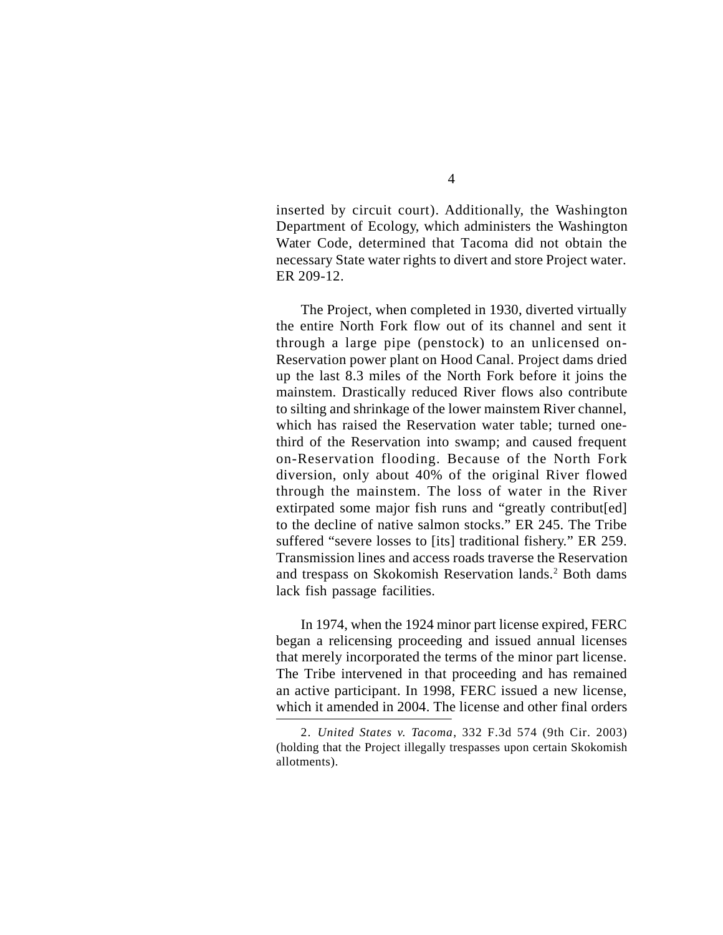inserted by circuit court). Additionally, the Washington Department of Ecology, which administers the Washington Water Code, determined that Tacoma did not obtain the necessary State water rights to divert and store Project water. ER 209-12.

The Project, when completed in 1930, diverted virtually the entire North Fork flow out of its channel and sent it through a large pipe (penstock) to an unlicensed on-Reservation power plant on Hood Canal. Project dams dried up the last 8.3 miles of the North Fork before it joins the mainstem. Drastically reduced River flows also contribute to silting and shrinkage of the lower mainstem River channel, which has raised the Reservation water table; turned onethird of the Reservation into swamp; and caused frequent on-Reservation flooding. Because of the North Fork diversion, only about 40% of the original River flowed through the mainstem. The loss of water in the River extirpated some major fish runs and "greatly contribut[ed] to the decline of native salmon stocks." ER 245. The Tribe suffered "severe losses to [its] traditional fishery." ER 259. Transmission lines and access roads traverse the Reservation and trespass on Skokomish Reservation lands.<sup>2</sup> Both dams lack fish passage facilities.

In 1974, when the 1924 minor part license expired, FERC began a relicensing proceeding and issued annual licenses that merely incorporated the terms of the minor part license. The Tribe intervened in that proceeding and has remained an active participant. In 1998, FERC issued a new license, which it amended in 2004. The license and other final orders

<sup>2.</sup> *United States v. Tacoma*, 332 F.3d 574 (9th Cir. 2003) (holding that the Project illegally trespasses upon certain Skokomish allotments).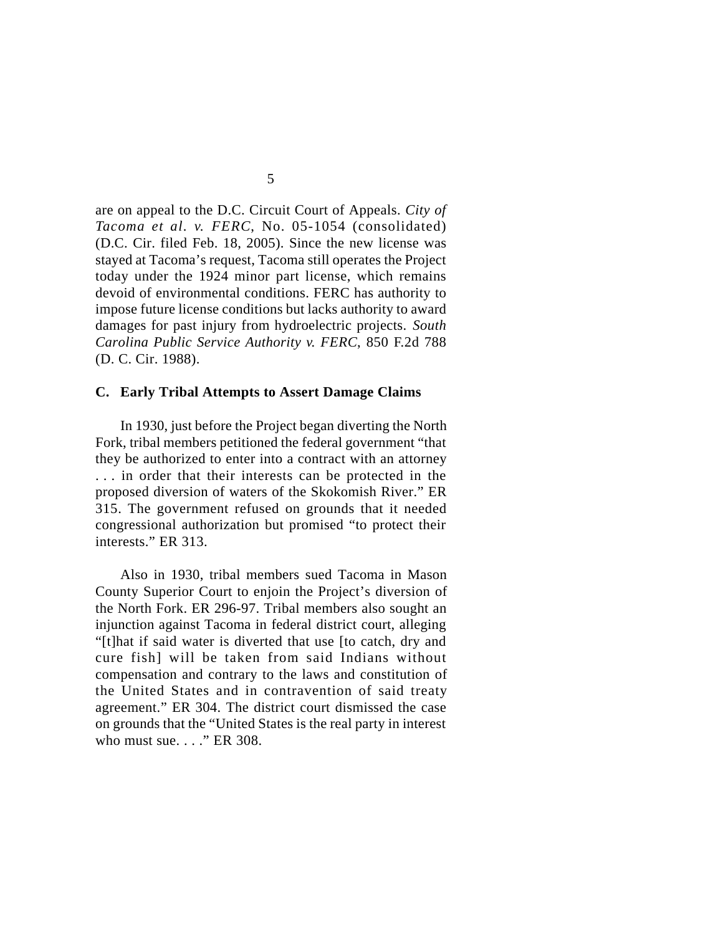are on appeal to the D.C. Circuit Court of Appeals. *City of Tacoma et al. v. FERC*, No. 05-1054 (consolidated) (D.C. Cir. filed Feb. 18, 2005). Since the new license was stayed at Tacoma's request, Tacoma still operates the Project today under the 1924 minor part license, which remains devoid of environmental conditions. FERC has authority to impose future license conditions but lacks authority to award damages for past injury from hydroelectric projects. *South Carolina Public Service Authority v. FERC*, 850 F.2d 788 (D. C. Cir. 1988).

#### **C. Early Tribal Attempts to Assert Damage Claims**

In 1930, just before the Project began diverting the North Fork, tribal members petitioned the federal government "that they be authorized to enter into a contract with an attorney . . . in order that their interests can be protected in the proposed diversion of waters of the Skokomish River." ER 315. The government refused on grounds that it needed congressional authorization but promised "to protect their interests." ER 313.

Also in 1930, tribal members sued Tacoma in Mason County Superior Court to enjoin the Project's diversion of the North Fork. ER 296-97. Tribal members also sought an injunction against Tacoma in federal district court, alleging "[t]hat if said water is diverted that use [to catch, dry and cure fish] will be taken from said Indians without compensation and contrary to the laws and constitution of the United States and in contravention of said treaty agreement." ER 304. The district court dismissed the case on grounds that the "United States is the real party in interest who must sue. . . ." ER 308.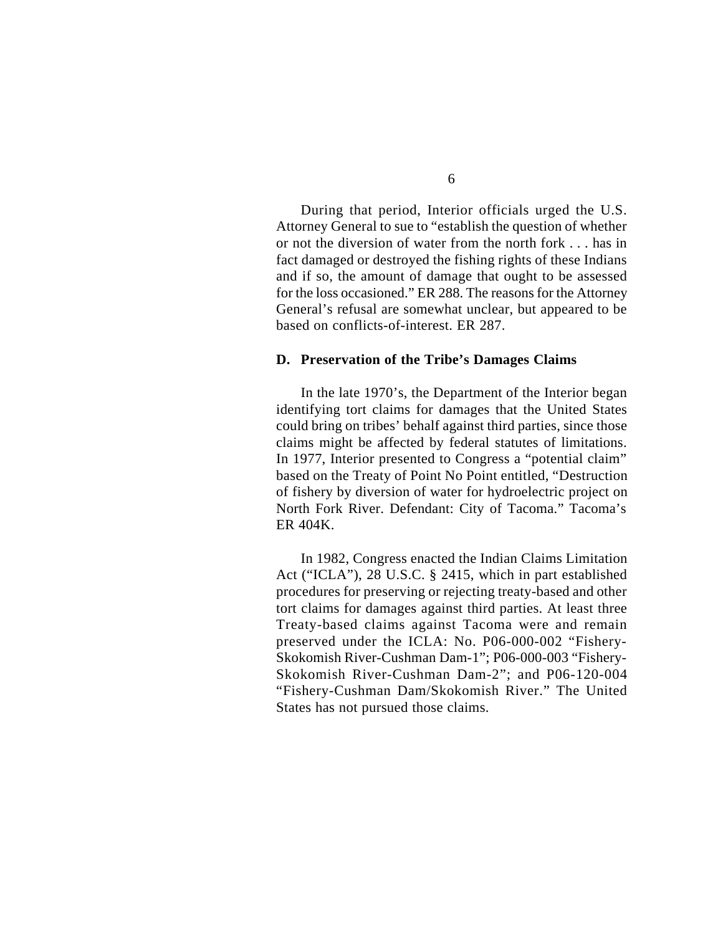During that period, Interior officials urged the U.S. Attorney General to sue to "establish the question of whether or not the diversion of water from the north fork . . . has in fact damaged or destroyed the fishing rights of these Indians and if so, the amount of damage that ought to be assessed for the loss occasioned." ER 288. The reasons for the Attorney General's refusal are somewhat unclear, but appeared to be based on conflicts-of-interest. ER 287.

### **D. Preservation of the Tribe's Damages Claims**

In the late 1970's, the Department of the Interior began identifying tort claims for damages that the United States could bring on tribes' behalf against third parties, since those claims might be affected by federal statutes of limitations. In 1977, Interior presented to Congress a "potential claim" based on the Treaty of Point No Point entitled, "Destruction of fishery by diversion of water for hydroelectric project on North Fork River. Defendant: City of Tacoma." Tacoma's ER 404K.

In 1982, Congress enacted the Indian Claims Limitation Act ("ICLA"), 28 U.S.C. § 2415, which in part established procedures for preserving or rejecting treaty-based and other tort claims for damages against third parties. At least three Treaty-based claims against Tacoma were and remain preserved under the ICLA: No. P06-000-002 "Fishery-Skokomish River-Cushman Dam-1"; P06-000-003 "Fishery-Skokomish River-Cushman Dam-2"; and P06-120-004 "Fishery-Cushman Dam/Skokomish River." The United States has not pursued those claims.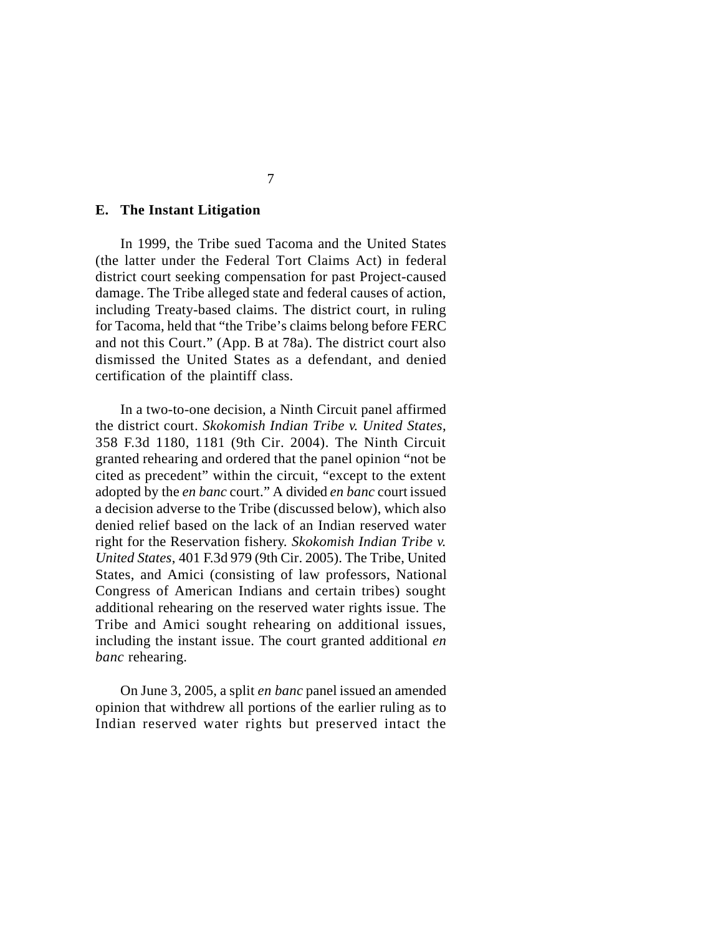#### **E. The Instant Litigation**

In 1999, the Tribe sued Tacoma and the United States (the latter under the Federal Tort Claims Act) in federal district court seeking compensation for past Project-caused damage. The Tribe alleged state and federal causes of action, including Treaty-based claims. The district court, in ruling for Tacoma, held that "the Tribe's claims belong before FERC and not this Court." (App. B at 78a). The district court also dismissed the United States as a defendant, and denied certification of the plaintiff class.

In a two-to-one decision, a Ninth Circuit panel affirmed the district court. *Skokomish Indian Tribe v. United States*, 358 F.3d 1180, 1181 (9th Cir. 2004). The Ninth Circuit granted rehearing and ordered that the panel opinion "not be cited as precedent" within the circuit, "except to the extent adopted by the *en banc* court." A divided *en banc* court issued a decision adverse to the Tribe (discussed below), which also denied relief based on the lack of an Indian reserved water right for the Reservation fishery. *Skokomish Indian Tribe v. United States*, 401 F.3d 979 (9th Cir. 2005). The Tribe, United States, and Amici (consisting of law professors, National Congress of American Indians and certain tribes) sought additional rehearing on the reserved water rights issue. The Tribe and Amici sought rehearing on additional issues, including the instant issue. The court granted additional *en banc* rehearing.

On June 3, 2005, a split *en banc* panel issued an amended opinion that withdrew all portions of the earlier ruling as to Indian reserved water rights but preserved intact the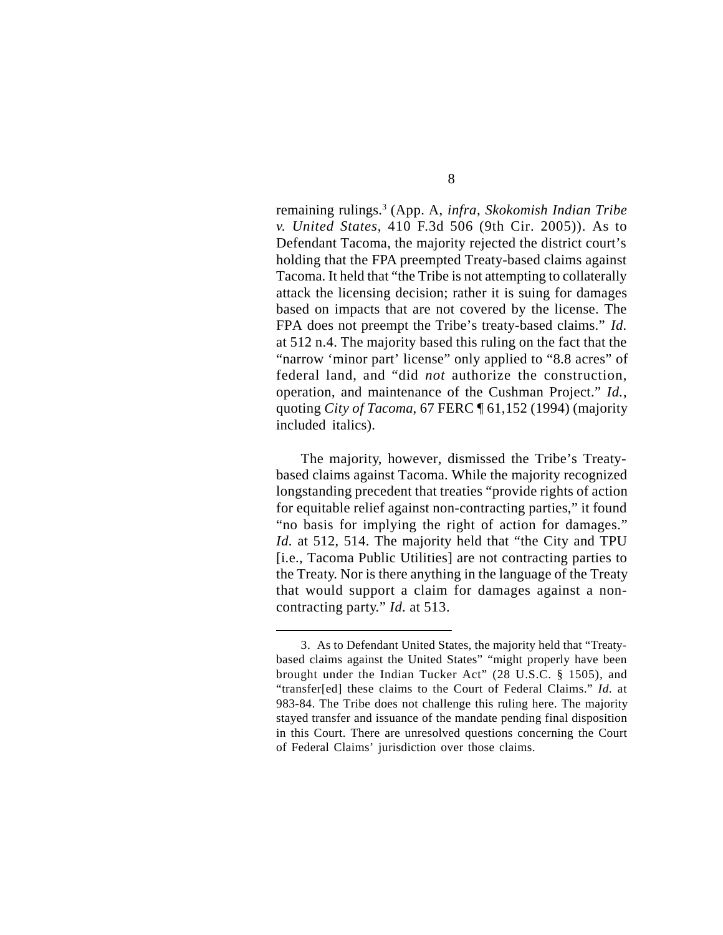remaining rulings.<sup>3</sup> (App. A, *infra*, *Skokomish Indian Tribe v. United States*, 410 F.3d 506 (9th Cir. 2005)). As to Defendant Tacoma, the majority rejected the district court's holding that the FPA preempted Treaty-based claims against Tacoma. It held that "the Tribe is not attempting to collaterally attack the licensing decision; rather it is suing for damages based on impacts that are not covered by the license. The FPA does not preempt the Tribe's treaty-based claims." *Id.* at 512 n.4. The majority based this ruling on the fact that the "narrow 'minor part' license" only applied to "8.8 acres" of federal land, and "did *not* authorize the construction, operation, and maintenance of the Cushman Project." *Id.*, quoting *City of Tacoma*, 67 FERC ¶ 61,152 (1994) (majority included italics).

The majority, however, dismissed the Tribe's Treatybased claims against Tacoma. While the majority recognized longstanding precedent that treaties "provide rights of action for equitable relief against non-contracting parties," it found "no basis for implying the right of action for damages." *Id.* at 512, 514. The majority held that "the City and TPU [i.e., Tacoma Public Utilities] are not contracting parties to the Treaty. Nor is there anything in the language of the Treaty that would support a claim for damages against a noncontracting party." *Id.* at 513.

<sup>3.</sup> As to Defendant United States, the majority held that "Treatybased claims against the United States" "might properly have been brought under the Indian Tucker Act" (28 U.S.C. § 1505), and "transfer[ed] these claims to the Court of Federal Claims." *Id.* at 983-84. The Tribe does not challenge this ruling here. The majority stayed transfer and issuance of the mandate pending final disposition in this Court. There are unresolved questions concerning the Court of Federal Claims' jurisdiction over those claims.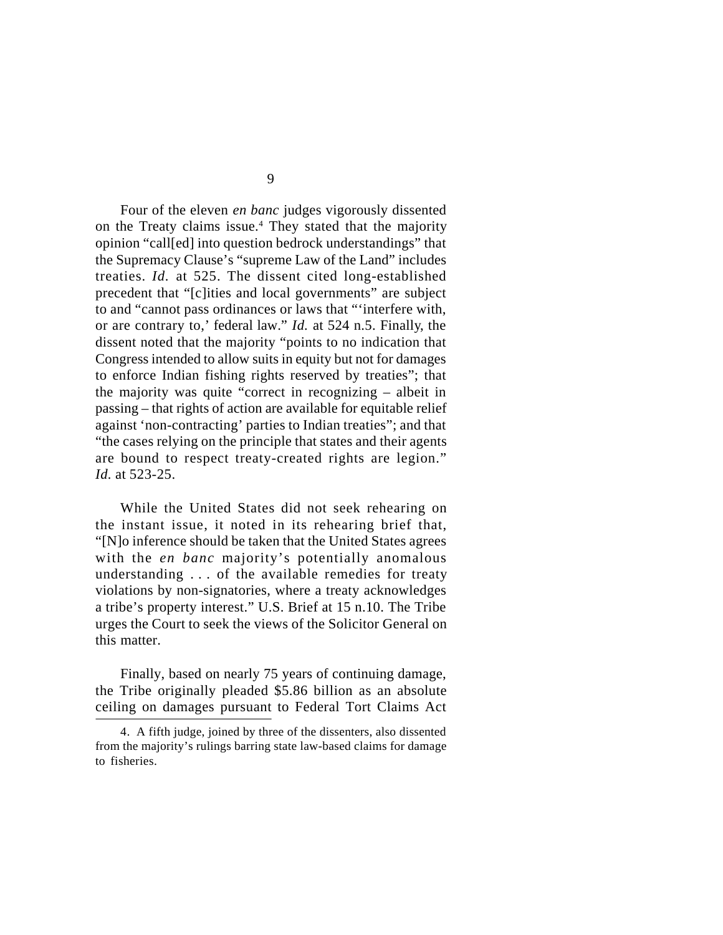Four of the eleven *en banc* judges vigorously dissented on the Treaty claims issue.<sup>4</sup> They stated that the majority opinion "call[ed] into question bedrock understandings" that the Supremacy Clause's "supreme Law of the Land" includes treaties. *Id.* at 525. The dissent cited long-established precedent that "[c]ities and local governments" are subject to and "cannot pass ordinances or laws that "'interfere with, or are contrary to,' federal law." *Id.* at 524 n.5. Finally, the dissent noted that the majority "points to no indication that Congress intended to allow suits in equity but not for damages to enforce Indian fishing rights reserved by treaties"; that the majority was quite "correct in recognizing – albeit in passing – that rights of action are available for equitable relief against 'non-contracting' parties to Indian treaties"; and that "the cases relying on the principle that states and their agents are bound to respect treaty-created rights are legion." *Id.* at 523-25.

While the United States did not seek rehearing on the instant issue, it noted in its rehearing brief that, "[N]o inference should be taken that the United States agrees with the *en banc* majority's potentially anomalous understanding . . . of the available remedies for treaty violations by non-signatories, where a treaty acknowledges a tribe's property interest." U.S. Brief at 15 n.10. The Tribe urges the Court to seek the views of the Solicitor General on this matter.

Finally, based on nearly 75 years of continuing damage, the Tribe originally pleaded \$5.86 billion as an absolute ceiling on damages pursuant to Federal Tort Claims Act

<sup>4.</sup> A fifth judge, joined by three of the dissenters, also dissented from the majority's rulings barring state law-based claims for damage to fisheries.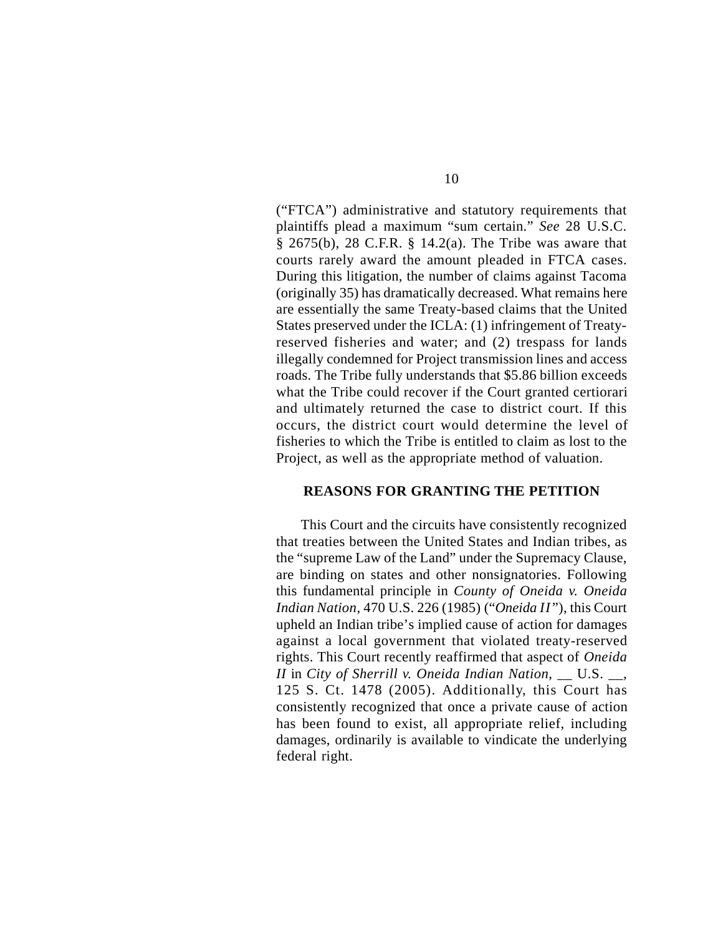("FTCA") administrative and statutory requirements that plaintiffs plead a maximum "sum certain." *See* 28 U.S.C. § 2675(b), 28 C.F.R. § 14.2(a). The Tribe was aware that courts rarely award the amount pleaded in FTCA cases. During this litigation, the number of claims against Tacoma (originally 35) has dramatically decreased. What remains here are essentially the same Treaty-based claims that the United States preserved under the ICLA: (1) infringement of Treatyreserved fisheries and water; and (2) trespass for lands illegally condemned for Project transmission lines and access roads. The Tribe fully understands that \$5.86 billion exceeds what the Tribe could recover if the Court granted certiorari and ultimately returned the case to district court. If this occurs, the district court would determine the level of fisheries to which the Tribe is entitled to claim as lost to the Project, as well as the appropriate method of valuation.

#### **REASONS FOR GRANTING THE PETITION**

This Court and the circuits have consistently recognized that treaties between the United States and Indian tribes, as the "supreme Law of the Land" under the Supremacy Clause, are binding on states and other nonsignatories. Following this fundamental principle in *County of Oneida v. Oneida Indian Nation*, 470 U.S. 226 (1985) ("*Oneida II* "), this Court upheld an Indian tribe's implied cause of action for damages against a local government that violated treaty-reserved rights. This Court recently reaffirmed that aspect of *Oneida II* in *City of Sherrill v. Oneida Indian Nation*, \_\_ U.S. \_\_, 125 S. Ct. 1478 (2005). Additionally, this Court has consistently recognized that once a private cause of action has been found to exist, all appropriate relief, including damages, ordinarily is available to vindicate the underlying federal right.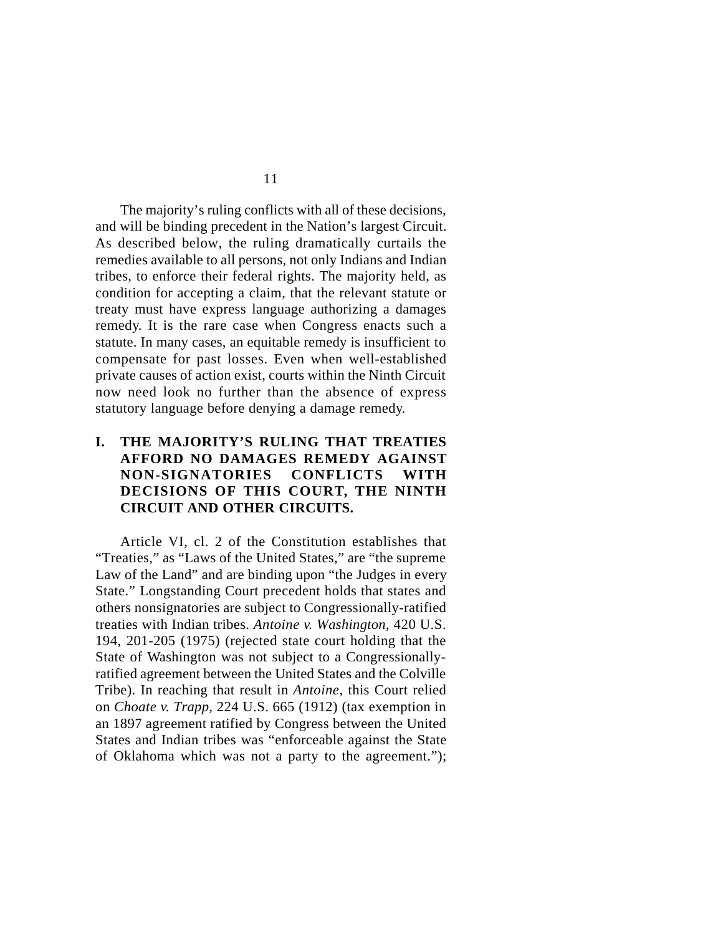The majority's ruling conflicts with all of these decisions, and will be binding precedent in the Nation's largest Circuit. As described below, the ruling dramatically curtails the remedies available to all persons, not only Indians and Indian tribes, to enforce their federal rights. The majority held, as condition for accepting a claim, that the relevant statute or treaty must have express language authorizing a damages remedy. It is the rare case when Congress enacts such a statute. In many cases, an equitable remedy is insufficient to compensate for past losses. Even when well-established private causes of action exist, courts within the Ninth Circuit now need look no further than the absence of express statutory language before denying a damage remedy.

# **I. THE MAJORITY'S RULING THAT TREATIES AFFORD NO DAMAGES REMEDY AGAINST NON-SIGNATORIES CONFLICTS WITH DECISIONS OF THIS COURT, THE NINTH CIRCUIT AND OTHER CIRCUITS.**

Article VI, cl. 2 of the Constitution establishes that "Treaties," as "Laws of the United States," are "the supreme Law of the Land" and are binding upon "the Judges in every State." Longstanding Court precedent holds that states and others nonsignatories are subject to Congressionally-ratified treaties with Indian tribes. *Antoine v. Washington*, 420 U.S. 194, 201-205 (1975) (rejected state court holding that the State of Washington was not subject to a Congressionallyratified agreement between the United States and the Colville Tribe). In reaching that result in *Antoine*, this Court relied on *Choate v. Trapp*, 224 U.S. 665 (1912) (tax exemption in an 1897 agreement ratified by Congress between the United States and Indian tribes was "enforceable against the State of Oklahoma which was not a party to the agreement.");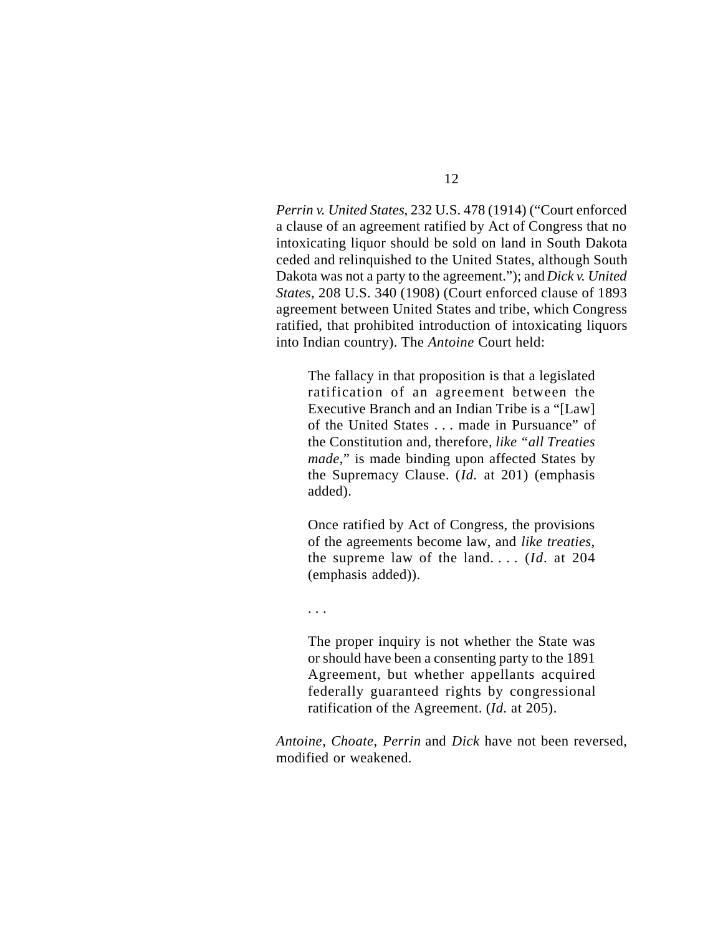*Perrin v. United States*, 232 U.S. 478 (1914) ("Court enforced a clause of an agreement ratified by Act of Congress that no intoxicating liquor should be sold on land in South Dakota ceded and relinquished to the United States, although South Dakota was not a party to the agreement."); and *Dick v. United States*, 208 U.S. 340 (1908) (Court enforced clause of 1893 agreement between United States and tribe, which Congress ratified, that prohibited introduction of intoxicating liquors into Indian country). The *Antoine* Court held:

The fallacy in that proposition is that a legislated ratification of an agreement between the Executive Branch and an Indian Tribe is a "[Law] of the United States . . . made in Pursuance" of the Constitution and, therefore, *like "all Treaties made*," is made binding upon affected States by the Supremacy Clause. (*Id.* at 201) (emphasis added).

Once ratified by Act of Congress, the provisions of the agreements become law, and *like treaties*, the supreme law of the land. . . . (*Id.* at 204 (emphasis added)).

. . .

The proper inquiry is not whether the State was or should have been a consenting party to the 1891 Agreement, but whether appellants acquired federally guaranteed rights by congressional ratification of the Agreement. (*Id.* at 205).

*Antoine*, *Choate*, *Perrin* and *Dick* have not been reversed, modified or weakened.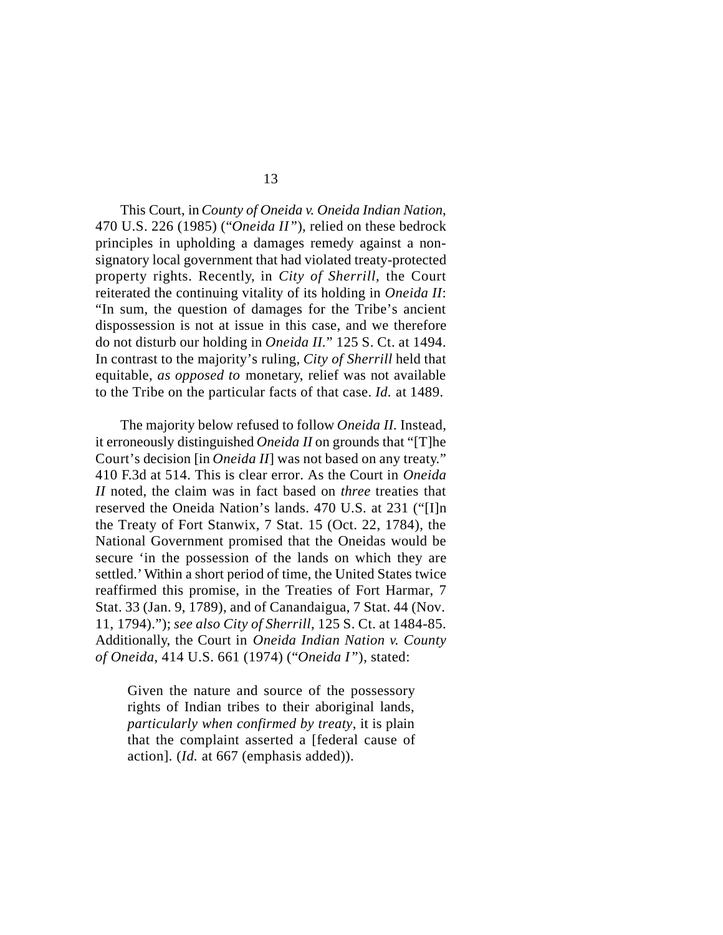This Court, in *County of Oneida v. Oneida Indian Nation*, 470 U.S. 226 (1985) ("*Oneida II* "), relied on these bedrock principles in upholding a damages remedy against a nonsignatory local government that had violated treaty-protected property rights. Recently, in *City of Sherrill*, the Court reiterated the continuing vitality of its holding in *Oneida II*: "In sum, the question of damages for the Tribe's ancient dispossession is not at issue in this case, and we therefore do not disturb our holding in *Oneida II.*" 125 S. Ct. at 1494. In contrast to the majority's ruling, *City of Sherrill* held that equitable, *as opposed to* monetary, relief was not available to the Tribe on the particular facts of that case. *Id.* at 1489.

The majority below refused to follow *Oneida II.* Instead, it erroneously distinguished *Oneida II* on grounds that "[T]he Court's decision [in *Oneida II*] was not based on any treaty." 410 F.3d at 514. This is clear error. As the Court in *Oneida II* noted, the claim was in fact based on *three* treaties that reserved the Oneida Nation's lands. 470 U.S. at 231 ("[I]n the Treaty of Fort Stanwix, 7 Stat. 15 (Oct. 22, 1784), the National Government promised that the Oneidas would be secure 'in the possession of the lands on which they are settled.' Within a short period of time, the United States twice reaffirmed this promise, in the Treaties of Fort Harmar, 7 Stat. 33 (Jan. 9, 1789), and of Canandaigua, 7 Stat. 44 (Nov. 11, 1794)."); *see also City of Sherrill*, 125 S. Ct. at 1484-85. Additionally, the Court in *Oneida Indian Nation v. County of Oneida*, 414 U.S. 661 (1974) ("*Oneida I* "), stated:

Given the nature and source of the possessory rights of Indian tribes to their aboriginal lands, *particularly when confirmed by treaty*, it is plain that the complaint asserted a [federal cause of action]. (*Id.* at 667 (emphasis added)).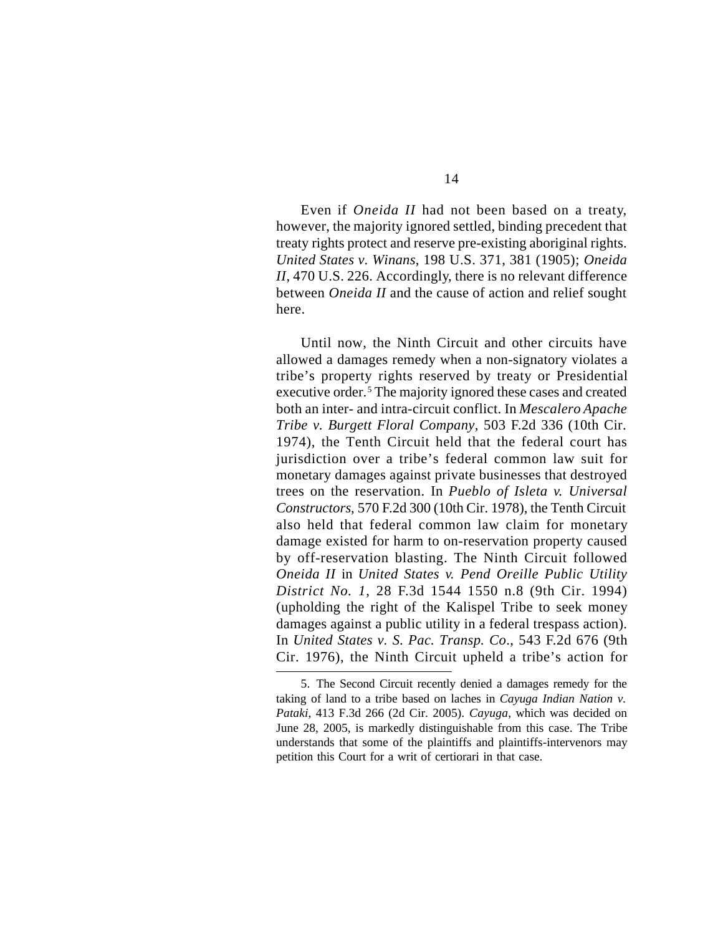Even if *Oneida II* had not been based on a treaty, however, the majority ignored settled, binding precedent that treaty rights protect and reserve pre-existing aboriginal rights. *United States v. Winans*, 198 U.S. 371, 381 (1905); *Oneida II*, 470 U.S. 226. Accordingly, there is no relevant difference between *Oneida II* and the cause of action and relief sought here.

Until now, the Ninth Circuit and other circuits have allowed a damages remedy when a non-signatory violates a tribe's property rights reserved by treaty or Presidential executive order.<sup>5</sup> The majority ignored these cases and created both an inter- and intra-circuit conflict. In *Mescalero Apache Tribe v. Burgett Floral Company*, 503 F.2d 336 (10th Cir. 1974), the Tenth Circuit held that the federal court has jurisdiction over a tribe's federal common law suit for monetary damages against private businesses that destroyed trees on the reservation. In *Pueblo of Isleta v. Universal Constructors*, 570 F.2d 300 (10th Cir. 1978), the Tenth Circuit also held that federal common law claim for monetary damage existed for harm to on-reservation property caused by off-reservation blasting. The Ninth Circuit followed *Oneida II* in *United States v. Pend Oreille Public Utility District No. 1*, 28 F.3d 1544 1550 n.8 (9th Cir. 1994) (upholding the right of the Kalispel Tribe to seek money damages against a public utility in a federal trespass action). In *United States v. S. Pac. Transp. Co*., 543 F.2d 676 (9th Cir. 1976), the Ninth Circuit upheld a tribe's action for

<sup>5.</sup> The Second Circuit recently denied a damages remedy for the taking of land to a tribe based on laches in *Cayuga Indian Nation v. Pataki*, 413 F.3d 266 (2d Cir. 2005). *Cayuga*, which was decided on June 28, 2005, is markedly distinguishable from this case. The Tribe understands that some of the plaintiffs and plaintiffs-intervenors may petition this Court for a writ of certiorari in that case.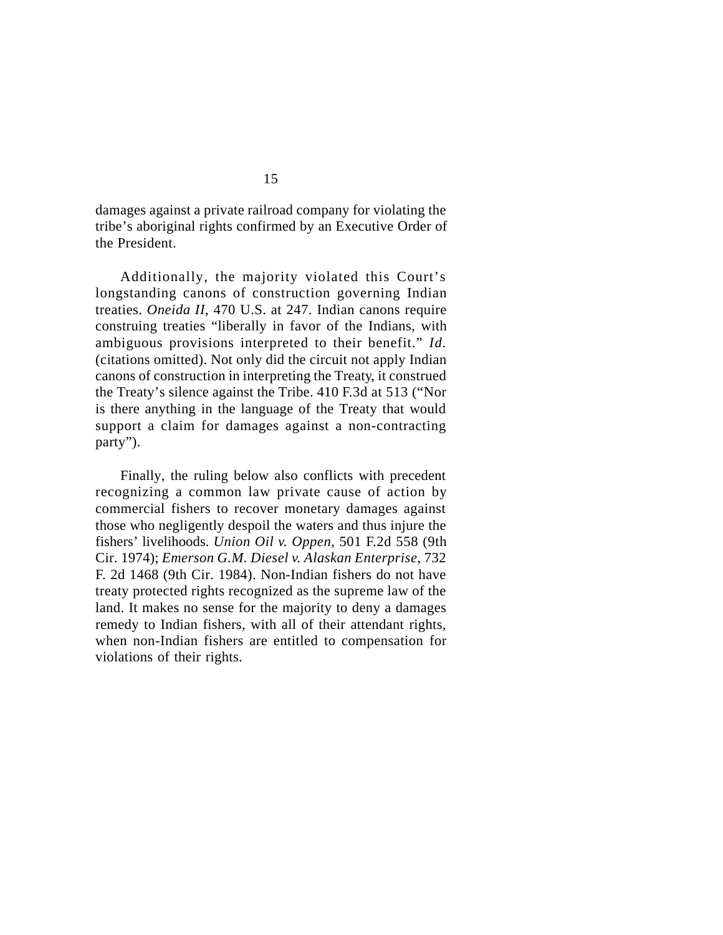damages against a private railroad company for violating the tribe's aboriginal rights confirmed by an Executive Order of the President.

Additionally, the majority violated this Court's longstanding canons of construction governing Indian treaties. *Oneida II*, 470 U.S. at 247. Indian canons require construing treaties "liberally in favor of the Indians, with ambiguous provisions interpreted to their benefit." *Id.* (citations omitted). Not only did the circuit not apply Indian canons of construction in interpreting the Treaty, it construed the Treaty's silence against the Tribe. 410 F.3d at 513 ("Nor is there anything in the language of the Treaty that would support a claim for damages against a non-contracting party").

Finally, the ruling below also conflicts with precedent recognizing a common law private cause of action by commercial fishers to recover monetary damages against those who negligently despoil the waters and thus injure the fishers' livelihoods. *Union Oil v. Oppen*, 501 F.2d 558 (9th Cir. 1974); *Emerson G.M. Diesel v. Alaskan Enterprise*, 732 F. 2d 1468 (9th Cir. 1984). Non-Indian fishers do not have treaty protected rights recognized as the supreme law of the land. It makes no sense for the majority to deny a damages remedy to Indian fishers, with all of their attendant rights, when non-Indian fishers are entitled to compensation for violations of their rights.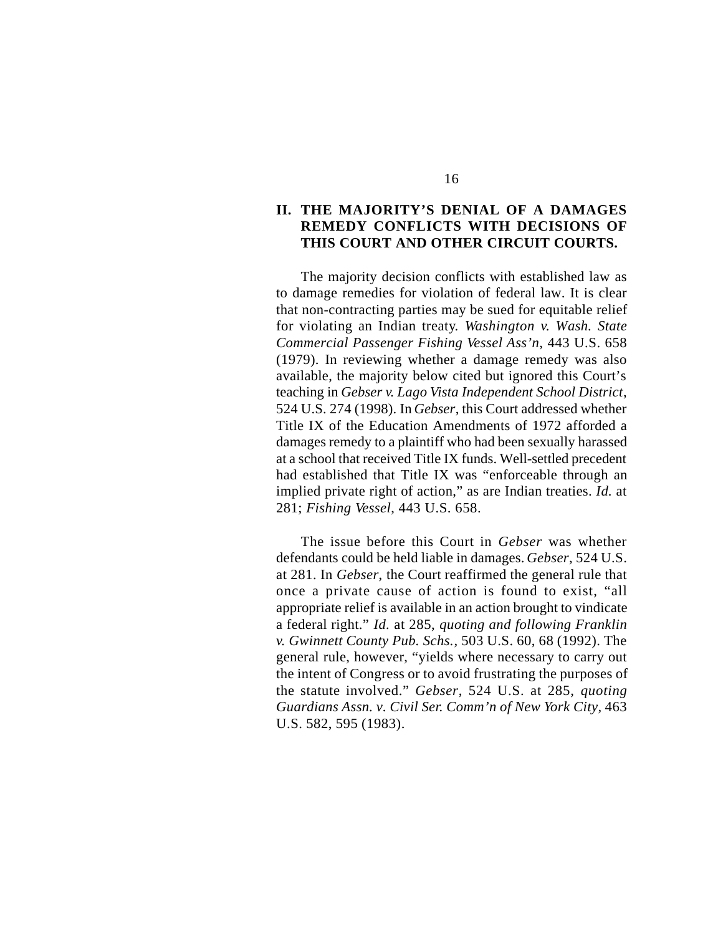### **II. THE MAJORITY'S DENIAL OF A DAMAGES REMEDY CONFLICTS WITH DECISIONS OF THIS COURT AND OTHER CIRCUIT COURTS.**

The majority decision conflicts with established law as to damage remedies for violation of federal law. It is clear that non-contracting parties may be sued for equitable relief for violating an Indian treaty. *Washington v. Wash. State Commercial Passenger Fishing Vessel Ass'n*, 443 U.S. 658 (1979). In reviewing whether a damage remedy was also available, the majority below cited but ignored this Court's teaching in *Gebser v. Lago Vista Independent School District*, 524 U.S. 274 (1998). In *Gebser*, this Court addressed whether Title IX of the Education Amendments of 1972 afforded a damages remedy to a plaintiff who had been sexually harassed at a school that received Title IX funds. Well-settled precedent had established that Title IX was "enforceable through an implied private right of action," as are Indian treaties. *Id.* at 281; *Fishing Vessel*, 443 U.S. 658.

The issue before this Court in *Gebser* was whether defendants could be held liable in damages. *Gebser*, 524 U.S. at 281. In *Gebser*, the Court reaffirmed the general rule that once a private cause of action is found to exist, "all appropriate relief is available in an action brought to vindicate a federal right." *Id.* at 285, *quoting and following Franklin v. Gwinnett County Pub. Schs.*, 503 U.S. 60, 68 (1992). The general rule, however, "yields where necessary to carry out the intent of Congress or to avoid frustrating the purposes of the statute involved." *Gebser*, 524 U.S. at 285, *quoting Guardians Assn. v. Civil Ser. Comm'n of New York City*, 463 U.S. 582, 595 (1983).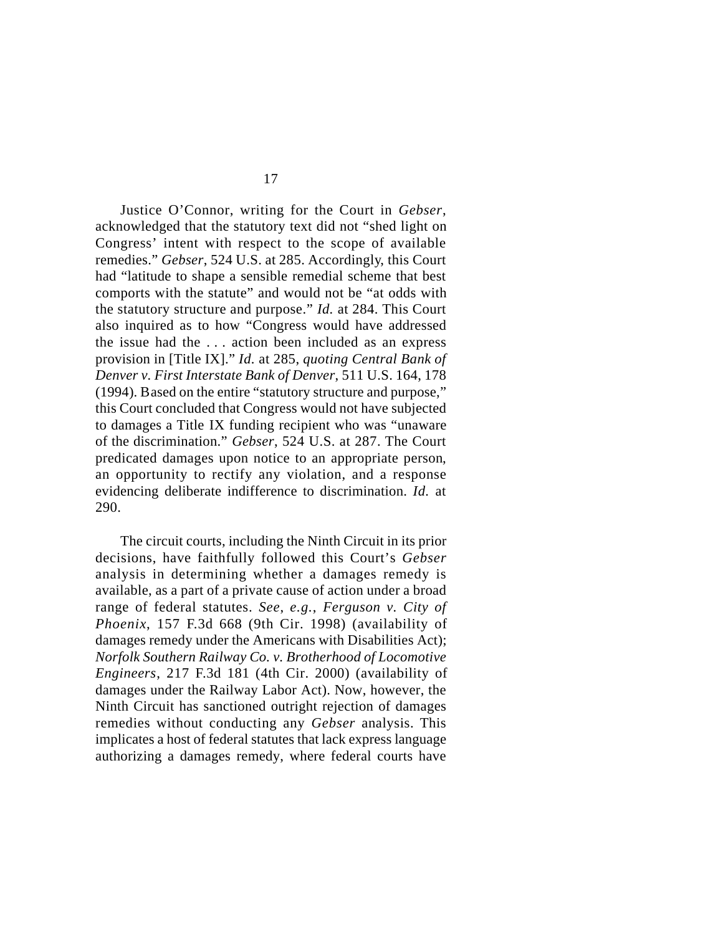Justice O'Connor, writing for the Court in *Gebser*, acknowledged that the statutory text did not "shed light on Congress' intent with respect to the scope of available remedies." *Gebser*, 524 U.S. at 285. Accordingly, this Court had "latitude to shape a sensible remedial scheme that best comports with the statute" and would not be "at odds with the statutory structure and purpose." *Id.* at 284. This Court also inquired as to how "Congress would have addressed the issue had the . . . action been included as an express provision in [Title IX]." *Id.* at 285, *quoting Central Bank of Denver v. First Interstate Bank of Denver*, 511 U.S. 164, 178 (1994). Based on the entire "statutory structure and purpose," this Court concluded that Congress would not have subjected to damages a Title IX funding recipient who was "unaware of the discrimination." *Gebser*, 524 U.S. at 287. The Court predicated damages upon notice to an appropriate person, an opportunity to rectify any violation, and a response evidencing deliberate indifference to discrimination. *Id.* at 290.

The circuit courts, including the Ninth Circuit in its prior decisions, have faithfully followed this Court's *Gebser* analysis in determining whether a damages remedy is available, as a part of a private cause of action under a broad range of federal statutes. *See*, *e.g.*, *Ferguson v. City of Phoenix*, 157 F.3d 668 (9th Cir. 1998) (availability of damages remedy under the Americans with Disabilities Act); *Norfolk Southern Railway Co. v. Brotherhood of Locomotive Engineers*, 217 F.3d 181 (4th Cir. 2000) (availability of damages under the Railway Labor Act). Now, however, the Ninth Circuit has sanctioned outright rejection of damages remedies without conducting any *Gebser* analysis. This implicates a host of federal statutes that lack express language authorizing a damages remedy, where federal courts have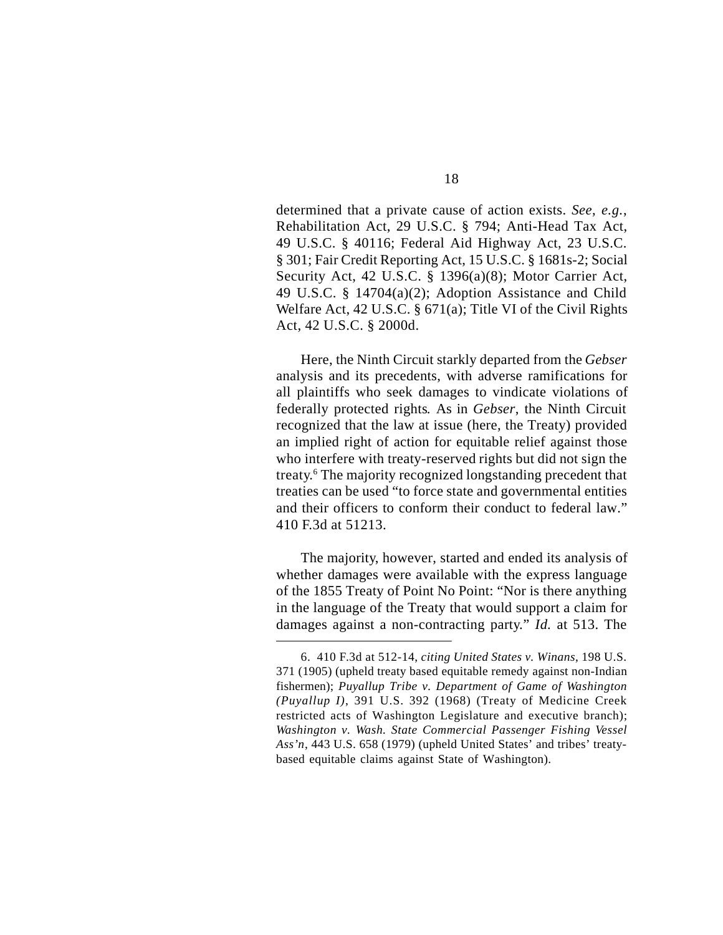determined that a private cause of action exists. *See*, *e.g.*, Rehabilitation Act, 29 U.S.C. § 794; Anti-Head Tax Act, 49 U.S.C. § 40116; Federal Aid Highway Act, 23 U.S.C. § 301; Fair Credit Reporting Act, 15 U.S.C. § 1681s-2; Social Security Act, 42 U.S.C. § 1396(a)(8); Motor Carrier Act, 49 U.S.C. § 14704(a)(2); Adoption Assistance and Child Welfare Act, 42 U.S.C. § 671(a); Title VI of the Civil Rights Act, 42 U.S.C. § 2000d.

Here, the Ninth Circuit starkly departed from the *Gebser* analysis and its precedents, with adverse ramifications for all plaintiffs who seek damages to vindicate violations of federally protected rights*.* As in *Gebser*, the Ninth Circuit recognized that the law at issue (here, the Treaty) provided an implied right of action for equitable relief against those who interfere with treaty-reserved rights but did not sign the treaty.<sup>6</sup> The majority recognized longstanding precedent that treaties can be used "to force state and governmental entities and their officers to conform their conduct to federal law." 410 F.3d at 51213.

The majority, however, started and ended its analysis of whether damages were available with the express language of the 1855 Treaty of Point No Point: "Nor is there anything in the language of the Treaty that would support a claim for damages against a non-contracting party." *Id.* at 513. The

<sup>6.</sup> 410 F.3d at 512-14, *citing United States v. Winans*, 198 U.S. 371 (1905) (upheld treaty based equitable remedy against non-Indian fishermen); *Puyallup Tribe v. Department of Game of Washington (Puyallup I)*, 391 U.S. 392 (1968) (Treaty of Medicine Creek restricted acts of Washington Legislature and executive branch); *Washington v. Wash. State Commercial Passenger Fishing Vessel Ass'n*, 443 U.S. 658 (1979) (upheld United States' and tribes' treatybased equitable claims against State of Washington).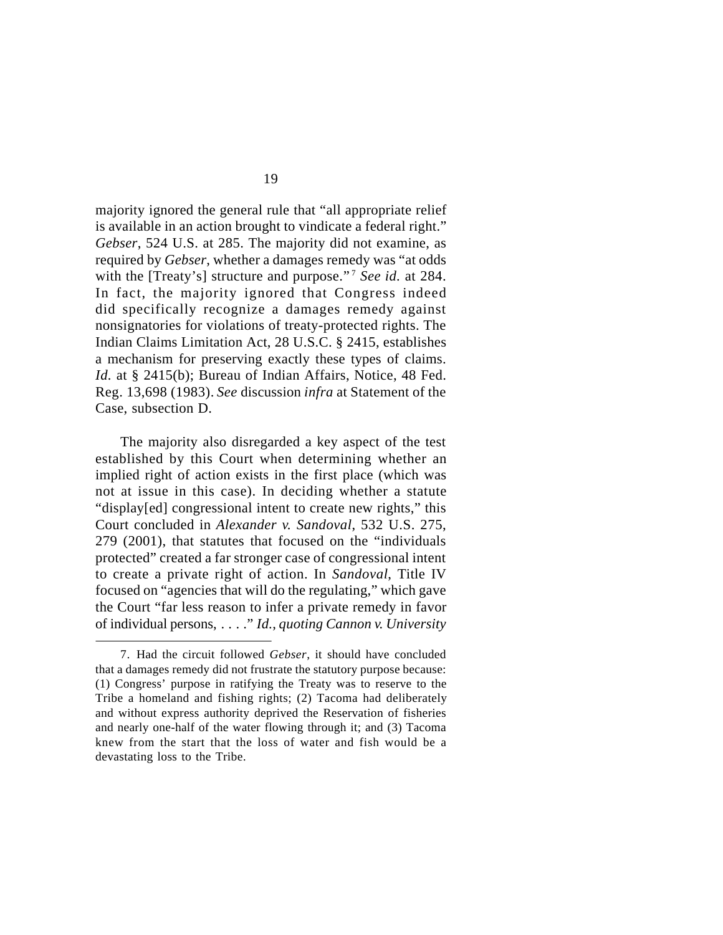majority ignored the general rule that "all appropriate relief is available in an action brought to vindicate a federal right." *Gebser*, 524 U.S. at 285. The majority did not examine, as required by *Gebser*, whether a damages remedy was "at odds with the [Treaty's] structure and purpose." <sup>7</sup> *See id.* at 284. In fact, the majority ignored that Congress indeed did specifically recognize a damages remedy against nonsignatories for violations of treaty-protected rights. The Indian Claims Limitation Act, 28 U.S.C. § 2415, establishes a mechanism for preserving exactly these types of claims. *Id.* at § 2415(b); Bureau of Indian Affairs, Notice, 48 Fed. Reg. 13,698 (1983). *See* discussion *infra* at Statement of the Case, subsection D.

The majority also disregarded a key aspect of the test established by this Court when determining whether an implied right of action exists in the first place (which was not at issue in this case). In deciding whether a statute "display[ed] congressional intent to create new rights," this Court concluded in *Alexander v. Sandoval*, 532 U.S. 275, 279 (2001), that statutes that focused on the "individuals protected" created a far stronger case of congressional intent to create a private right of action. In *Sandoval*, Title IV focused on "agencies that will do the regulating," which gave the Court "far less reason to infer a private remedy in favor of individual persons, . . . ." *Id.*, *quoting Cannon v. University*

<sup>7.</sup> Had the circuit followed *Gebser*, it should have concluded that a damages remedy did not frustrate the statutory purpose because: (1) Congress' purpose in ratifying the Treaty was to reserve to the Tribe a homeland and fishing rights; (2) Tacoma had deliberately and without express authority deprived the Reservation of fisheries and nearly one-half of the water flowing through it; and (3) Tacoma knew from the start that the loss of water and fish would be a devastating loss to the Tribe.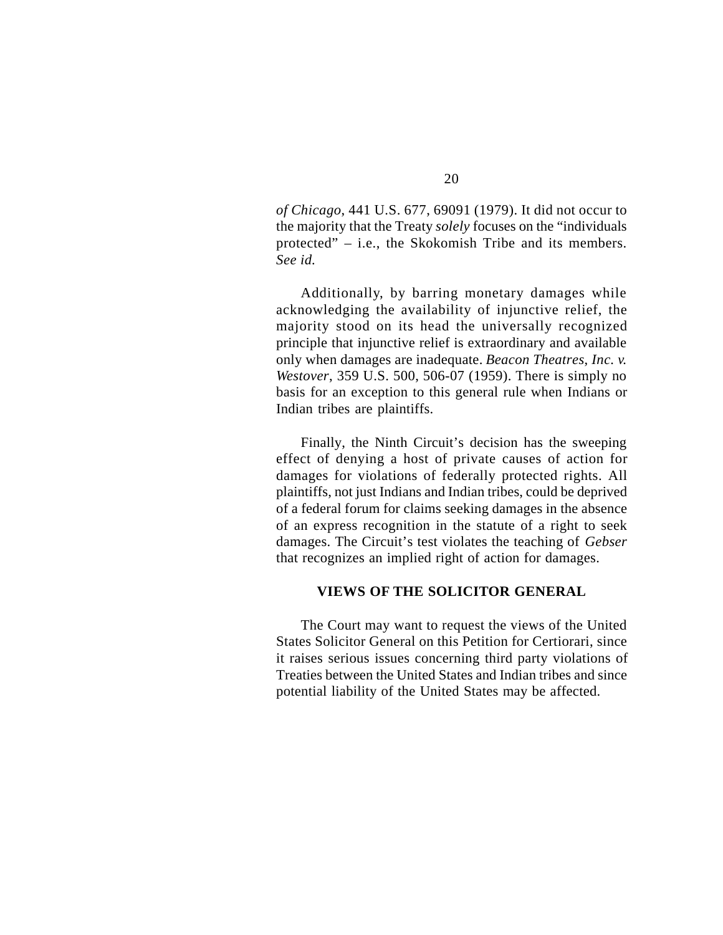*of Chicago*, 441 U.S. 677, 69091 (1979). It did not occur to the majority that the Treaty *solely* focuses on the "individuals protected" – i.e., the Skokomish Tribe and its members. *See id.*

Additionally, by barring monetary damages while acknowledging the availability of injunctive relief, the majority stood on its head the universally recognized principle that injunctive relief is extraordinary and available only when damages are inadequate. *Beacon Theatres*, *Inc. v. Westover*, 359 U.S. 500, 506-07 (1959). There is simply no basis for an exception to this general rule when Indians or Indian tribes are plaintiffs.

Finally, the Ninth Circuit's decision has the sweeping effect of denying a host of private causes of action for damages for violations of federally protected rights. All plaintiffs, not just Indians and Indian tribes, could be deprived of a federal forum for claims seeking damages in the absence of an express recognition in the statute of a right to seek damages. The Circuit's test violates the teaching of *Gebser* that recognizes an implied right of action for damages.

### **VIEWS OF THE SOLICITOR GENERAL**

The Court may want to request the views of the United States Solicitor General on this Petition for Certiorari, since it raises serious issues concerning third party violations of Treaties between the United States and Indian tribes and since potential liability of the United States may be affected.